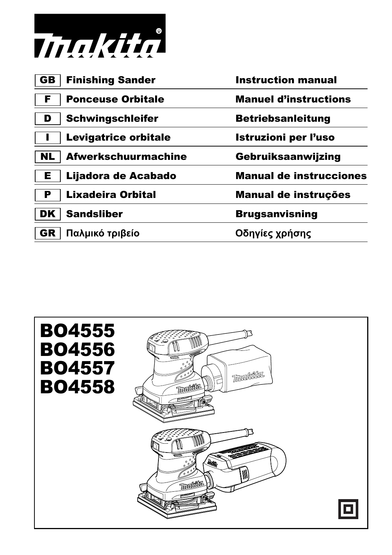

| GB.       | <b>Finishing Sander</b>    | <b>Instruction manual</b>      |
|-----------|----------------------------|--------------------------------|
| F         | <b>Ponceuse Orbitale</b>   | <b>Manuel d'instructions</b>   |
| D         | <b>Schwingschleifer</b>    | <b>Betriebsanleitung</b>       |
|           | Levigatrice orbitale       | <b>Istruzioni per l'uso</b>    |
| <b>NL</b> | <b>Afwerkschuurmachine</b> | Gebruiksaanwijzing             |
| Е         | Lijadora de Acabado        | <b>Manual de instrucciones</b> |
| Р         | <b>Lixadeira Orbital</b>   | Manual de instruções           |
| DK.       | <b>Sandsliber</b>          | <b>Brugsanvisning</b>          |
| GR        | Παλμικό τριβείο            | Οδηγίες χρήσης                 |
|           |                            |                                |

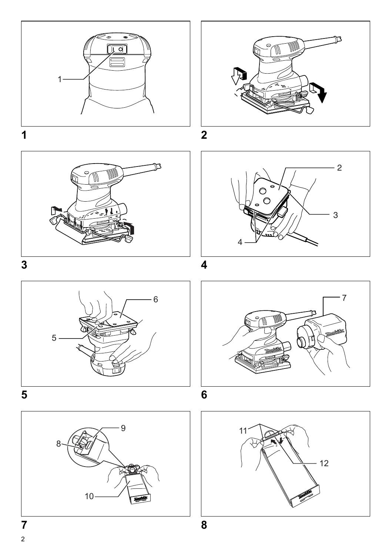



















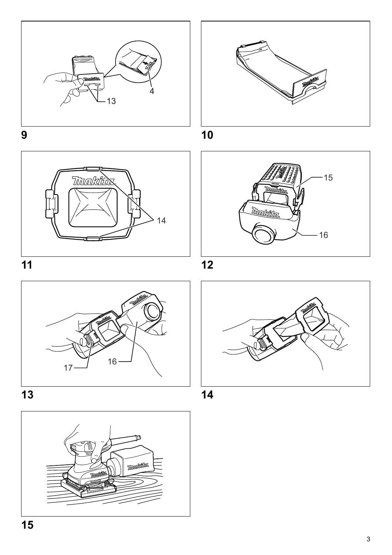







**13 14**





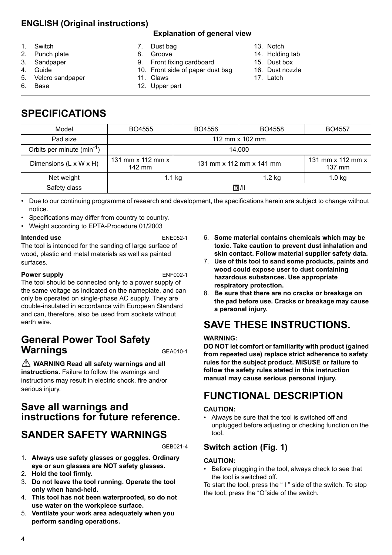## **ENGLISH (Original instructions)**

#### **Explanation of general view**

- 1. Switch
- 2. Punch plate
- 3. Sandpaper
- 4. Guide
- 5. Velcro sandpaper
- 6. Base
- 7. Dust bag
- 8. Groove
- 9. Front fixing cardboard
- 10. Front side of paper dust bag
- 11. Claws 12. Upper part
- 13. Notch
- 14. Holding tab
- 15. Dust box
- 16. Dust nozzle
- 17. Latch

**SPECIFICATIONS**

| Model                          | BO4555                                    | BO4556                   | BO4558            | BO4557                                    |
|--------------------------------|-------------------------------------------|--------------------------|-------------------|-------------------------------------------|
| Pad size                       | 112 mm $\times$ 102 mm                    |                          |                   |                                           |
| Orbits per minute $(min^{-1})$ | 14.000                                    |                          |                   |                                           |
| Dimensions (L x W x H)         | 131 mm $\times$ 112 mm $\times$<br>142 mm | 131 mm x 112 mm x 141 mm |                   | 131 mm $\times$ 112 mm $\times$<br>137 mm |
| Net weight                     | 1.1 kg                                    |                          | 1.2 <sub>kq</sub> | 1.0 <sub>kq</sub>                         |
| Safety class                   | 回/11                                      |                          |                   |                                           |

• Due to our continuing programme of research and development, the specifications herein are subject to change without notice.

- Specifications may differ from country to country.
- Weight according to EPTA-Procedure 01/2003

#### **Intended use** ENE052-1

The tool is intended for the sanding of large surface of wood, plastic and metal materials as well as painted surfaces.

#### **Power supply** ENF002-1

The tool should be connected only to a power supply of the same voltage as indicated on the nameplate, and can only be operated on single-phase AC supply. They are double-insulated in accordance with European Standard and can, therefore, also be used from sockets without earth wire.

# **General Power Tool Safety Warnings** GEA010-1

**WARNING Read all safety warnings and all instructions.** Failure to follow the warnings and instructions may result in electric shock, fire and/or serious injury.

# **Save all warnings and instructions for future reference.**

# **SANDER SAFETY WARNINGS**

GEB021-4

- 1. **Always use safety glasses or goggles. Ordinary eye or sun glasses are NOT safety glasses.**
- 2. **Hold the tool firmly.**
- 3. **Do not leave the tool running. Operate the tool only when hand-held.**
- 4. **This tool has not been waterproofed, so do not use water on the workpiece surface.**
- 5. **Ventilate your work area adequately when you perform sanding operations.**
- 6. **Some material contains chemicals which may be toxic. Take caution to prevent dust inhalation and skin contact. Follow material supplier safety data.**
- 7. **Use of this tool to sand some products, paints and wood could expose user to dust containing hazardous substances. Use appropriate respiratory protection.**
- 8. **Be sure that there are no cracks or breakage on the pad before use. Cracks or breakage may cause a personal injury.**

# **SAVE THESE INSTRUCTIONS.**

#### **WARNING:**

**DO NOT let comfort or familiarity with product (gained from repeated use) replace strict adherence to safety rules for the subject product. MISUSE or failure to follow the safety rules stated in this instruction manual may cause serious personal injury.**

# **FUNCTIONAL DESCRIPTION**

#### **CAUTION:**

• Always be sure that the tool is switched off and unplugged before adjusting or checking function on the tool.

### **Switch action (Fig. 1)**

#### **CAUTION:**

• Before plugging in the tool, always check to see that the tool is switched off.

To start the tool, press the " I " side of the switch. To stop the tool, press the "O"side of the switch.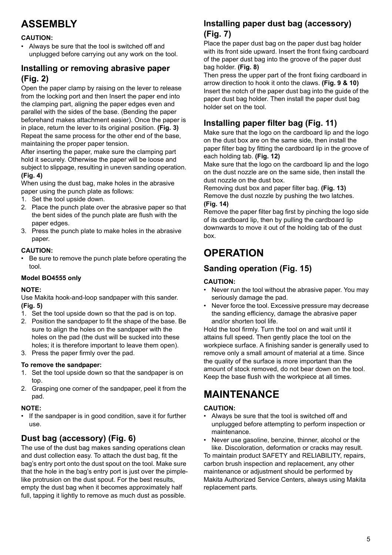# **ASSEMBLY**

#### **CAUTION:**

• Always be sure that the tool is switched off and unplugged before carrying out any work on the tool.

# **Installing or removing abrasive paper (Fig. 2)**

Open the paper clamp by raising on the lever to release from the locking port and then Insert the paper end into the clamping part, aligning the paper edges even and parallel with the sides of the base. (Bending the paper beforehand makes attachment easier). Once the paper is in place, return the lever to its original position. **(Fig. 3)** Repeat the same process for the other end of the base, maintaining the proper paper tension.

After inserting the paper, make sure the clamping part hold it securely. Otherwise the paper will be loose and subject to slippage, resulting in uneven sanding operation. **(Fig. 4)**

When using the dust bag, make holes in the abrasive paper using the punch plate as follows:

- 1. Set the tool upside down.
- 2. Place the punch plate over the abrasive paper so that the bent sides of the punch plate are flush with the paper edges.
- 3. Press the punch plate to make holes in the abrasive paper.

#### **CAUTION:**

• Be sure to remove the punch plate before operating the tool.

#### **Model BO4555 only**

#### **NOTE:**

Use Makita hook-and-loop sandpaper with this sander. **(Fig. 5)**

- 1. Set the tool upside down so that the pad is on top.
- 2. Position the sandpaper to fit the shape of the base. Be sure to align the holes on the sandpaper with the holes on the pad (the dust will be sucked into these holes; it is therefore important to leave them open).
- 3. Press the paper firmly over the pad.

#### **To remove the sandpaper:**

- 1. Set the tool upside down so that the sandpaper is on top.
- 2. Grasping one corner of the sandpaper, peel it from the pad.

#### **NOTE:**

• If the sandpaper is in good condition, save it for further use.

# **Dust bag (accessory) (Fig. 6)**

The use of the dust bag makes sanding operations clean and dust collection easy. To attach the dust bag, fit the bag's entry port onto the dust spout on the tool. Make sure that the hole in the bag's entry port is just over the pimplelike protrusion on the dust spout. For the best results, empty the dust bag when it becomes approximately half full, tapping it lightly to remove as much dust as possible.

### **Installing paper dust bag (accessory) (Fig. 7)**

Place the paper dust bag on the paper dust bag holder with its front side upward. Insert the front fixing cardboard of the paper dust bag into the groove of the paper dust bag holder. **(Fig. 8)**

Then press the upper part of the front fixing cardboard in arrow direction to hook it onto the claws. **(Fig. 9 & 10)** Insert the notch of the paper dust bag into the guide of the paper dust bag holder. Then install the paper dust bag holder set on the tool.

## **Installing paper filter bag (Fig. 11)**

Make sure that the logo on the cardboard lip and the logo on the dust box are on the same side, then install the paper filter bag by fitting the cardboard lip in the groove of each holding tab. **(Fig. 12)**

Make sure that the logo on the cardboard lip and the logo on the dust nozzle are on the same side, then install the dust nozzle on the dust box.

Removing dust box and paper filter bag. **(Fig. 13)** Remove the dust nozzle by pushing the two latches. **(Fig. 14)**

Remove the paper filter bag first by pinching the logo side of its cardboard lip, then by pulling the cardboard lip downwards to move it out of the holding tab of the dust box.

# **OPERATION**

# **Sanding operation (Fig. 15)**

#### **CAUTION:**

- Never run the tool without the abrasive paper. You may seriously damage the pad.
- Never force the tool. Excessive pressure may decrease the sanding efficiency, damage the abrasive paper and/or shorten tool life.

Hold the tool firmly. Turn the tool on and wait until it attains full speed. Then gently place the tool on the workpiece surface. A finishing sander is generally used to remove only a small amount of material at a time. Since the quality of the surface is more important than the amount of stock removed, do not bear down on the tool. Keep the base flush with the workpiece at all times.

# **MAINTENANCE**

#### **CAUTION:**

• Always be sure that the tool is switched off and unplugged before attempting to perform inspection or maintenance.

• Never use gasoline, benzine, thinner, alcohol or the like. Discoloration, deformation or cracks may result. To maintain product SAFETY and RELIABILITY, repairs, carbon brush inspection and replacement, any other maintenance or adjustment should be performed by

Makita Authorized Service Centers, always using Makita replacement parts.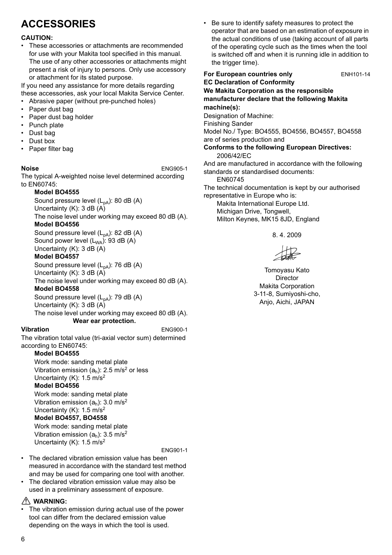# **ACCESSORIES**

### **CAUTION:**

• These accessories or attachments are recommended for use with your Makita tool specified in this manual. The use of any other accessories or attachments might present a risk of injury to persons. Only use accessory or attachment for its stated purpose.

If you need any assistance for more details regarding these accessories, ask your local Makita Service Center.

- Abrasive paper (without pre-punched holes)
- Paper dust bag
- Paper dust bag holder
- Punch plate
- Dust bag
- Dust box
- Paper filter bag

**Noise** ENG905-1

The typical A-weighted noise level determined according to EN60745:

#### **Model BO4555**

Sound pressure level  $(L_{pA})$ : 80 dB  $(A)$ Uncertainty (K): 3 dB (A) The noise level under working may exceed 80 dB (A).

#### **Model BO4556**

Sound pressure level  $(L_{pA})$ : 82 dB  $(A)$ Sound power level  $(L_{WA})$ : 93 dB (A) Uncertainty (K): 3 dB (A)

#### **Model BO4557**

Sound pressure level  $(L_{pA})$ : 76 dB  $(A)$ Uncertainty (K): 3 dB (A)

The noise level under working may exceed 80 dB (A). **Model BO4558**

Sound pressure level  $(L_{pA})$ : 79 dB  $(A)$ 

Uncertainty (K): 3 dB (A)

The noise level under working may exceed 80 dB (A). **Wear ear protection.**

#### **Vibration** ENG900-1

The vibration total value (tri-axial vector sum) determined according to EN60745:

#### **Model BO4555**

Work mode: sanding metal plate Vibration emission  $(a<sub>b</sub>)$ : 2.5 m/s<sup>2</sup> or less Uncertainty (K): 1.5 m/s2 **Model BO4556**

Work mode: sanding metal plate Vibration emission  $(a_h)$ : 3.0 m/s<sup>2</sup> Uncertainty (K): 1.5 m/s2 **Model BO4557, BO4558** Work mode: sanding metal plate

Vibration emission  $(a_h)$ : 3.5 m/s<sup>2</sup> Uncertainty (K): 1.5 m/s2

ENG901-1

- The declared vibration emission value has been measured in accordance with the standard test method and may be used for comparing one tool with another.
- The declared vibration emission value may also be used in a preliminary assessment of exposure.

#### **WARNING:**

The vibration emission during actual use of the power tool can differ from the declared emission value depending on the ways in which the tool is used.

• Be sure to identify safety measures to protect the operator that are based on an estimation of exposure in the actual conditions of use (taking account of all parts of the operating cycle such as the times when the tool is switched off and when it is running idle in addition to the trigger time).

**For European countries only ENH101-14 EC Declaration of Conformity We Makita Corporation as the responsible manufacturer declare that the following Makita machine(s):** Designation of Machine: Finishing Sander Model No./ Type: BO4555, BO4556, BO4557, BO4558 are of series production and **Conforms to the following European Directives:** 2006/42/EC And are manufactured in accordance with the following standards or standardised documents: EN60745 The technical documentation is kept by our authorised representative in Europe who is: Makita International Europe Ltd. Michigan Drive, Tongwell, Milton Keynes, MK15 8JD, England

8. 4. 2009

 $H2$ 

Tomoyasu Kato Director Makita Corporation 3-11-8, Sumiyoshi-cho, Anjo, Aichi, JAPAN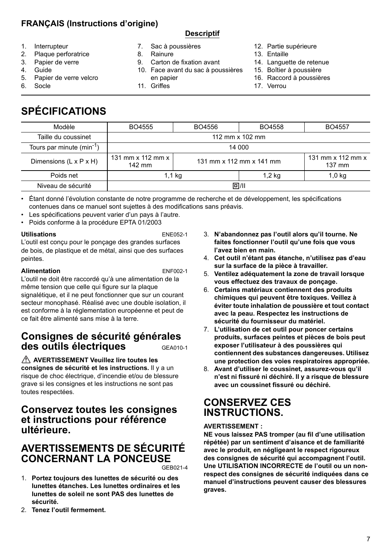## **FRANÇAIS (Instructions d'origine)**

### **Descriptif**

- 1. Interrupteur
- 2. Plaque perforatrice
- 3. Papier de verre
- 4. Guide
- 5. Papier de verre velcro
- 6. Socle
- 7. Sac à poussières
- 8. Rainure

11. Griffes

- 9. Carton de fixation avant
- 10. Face avant du sac à poussières en papier
	-
- 13. Entaille
	- 14. Languette de retenue

12. Partie supérieure

- 15. Boîtier à poussière
- 16. Raccord à poussières
- 17. Verrou

# **SPÉCIFICATIONS**

| Modèle                             | BO4555                                    | BO4556 | BO4558                   | BO4557                                    |
|------------------------------------|-------------------------------------------|--------|--------------------------|-------------------------------------------|
| Taille du coussinet                | 112 mm x 102 mm                           |        |                          |                                           |
| Tours par minute $(min^{-1})$      | 14 000                                    |        |                          |                                           |
| Dimensions $(L \times P \times H)$ | 131 mm $\times$ 112 mm $\times$<br>142 mm |        | 131 mm x 112 mm x 141 mm | 131 mm $\times$ 112 mm $\times$<br>137 mm |
| Poids net                          | 1.1 kg                                    |        | 1,2 kg                   | $1,0$ kg                                  |
| Niveau de sécurité                 | 回/川                                       |        |                          |                                           |

• Étant donné l'évolution constante de notre programme de recherche et de développement, les spécifications contenues dans ce manuel sont sujettes à des modifications sans préavis.

- Les spécifications peuvent varier d'un pays à l'autre.
- Poids conforme à la procédure EPTA 01/2003

**Utilisations** ENE052-1

L'outil est conçu pour le ponçage des grandes surfaces de bois, de plastique et de métal, ainsi que des surfaces peintes.

#### **Alimentation** ENF002-1

L'outil ne doit être raccordé qu'à une alimentation de la même tension que celle qui figure sur la plaque signalétique, et il ne peut fonctionner que sur un courant secteur monophasé. Réalisé avec une double isolation, il est conforme à la réglementation européenne et peut de ce fait être alimenté sans mise à la terre.

# **Consignes de sécurité générales des outils électriques** GEA010-1

 **AVERTISSEMENT Veuillez lire toutes les consignes de sécurité et les instructions.** Il y a un risque de choc électrique, d'incendie et/ou de blessure grave si les consignes et les instructions ne sont pas toutes respectées.

## **Conservez toutes les consignes et instructions pour référence ultérieure.**

# **AVERTISSEMENTS DE SÉCURITÉ CONCERNANT LA PONCEUSE**

GEB021-4

- 1. **Portez toujours des lunettes de sécurité ou des lunettes étanches. Les lunettes ordinaires et les lunettes de soleil ne sont PAS des lunettes de sécurité.**
- 2. **Tenez l'outil fermement.**
- 3. **N'abandonnez pas l'outil alors qu'il tourne. Ne faites fonctionner l'outil qu'une fois que vous l'avez bien en main.**
- 4. **Cet outil n'étant pas étanche, n'utilisez pas d'eau sur la surface de la pièce à travailler.**
- 5. **Ventilez adéquatement la zone de travail lorsque vous effectuez des travaux de ponçage.**
- 6. **Certains matériaux contiennent des produits chimiques qui peuvent être toxiques. Veillez à éviter toute inhalation de poussière et tout contact avec la peau. Respectez les instructions de sécurité du fournisseur du matériel.**
- 7. **L'utilisation de cet outil pour poncer certains produits, surfaces peintes et pièces de bois peut exposer l'utilisateur à des poussières qui contiennent des substances dangereuses. Utilisez une protection des voies respiratoires appropriée.**
- 8. **Avant d'utiliser le coussinet, assurez-vous qu'il n'est ni fissuré ni déchiré. Il y a risque de blessure avec un coussinet fissuré ou déchiré.**

# **CONSERVEZ CES INSTRUCTIONS.**

#### **AVERTISSEMENT :**

**NE vous laissez PAS tromper (au fil d'une utilisation répétée) par un sentiment d'aisance et de familiarité avec le produit, en négligeant le respect rigoureux des consignes de sécurité qui accompagnent l'outil. Une UTILISATION INCORRECTE de l'outil ou un nonrespect des consignes de sécurité indiquées dans ce manuel d'instructions peuvent causer des blessures graves.**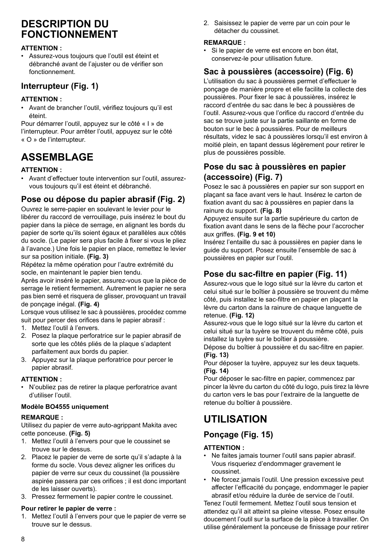# **DESCRIPTION DU FONCTIONNEMENT**

#### **ATTENTION :**

• Assurez-vous toujours que l'outil est éteint et débranché avant de l'ajuster ou de vérifier son fonctionnement.

### **Interrupteur (Fig. 1)**

#### **ATTENTION :**

• Avant de brancher l'outil, vérifiez toujours qu'il est éteint.

Pour démarrer l'outil, appuyez sur le côté « I » de l'interrupteur. Pour arrêter l'outil, appuyez sur le côté « O » de l'interrupteur.

# **ASSEMBLAGE**

#### **ATTENTION :**

• Avant d'effectuer toute intervention sur l'outil, assurezvous toujours qu'il est éteint et débranché.

### **Pose ou dépose du papier abrasif (Fig. 2)**

Ouvrez le serre-papier en soulevant le levier pour le libérer du raccord de verrouillage, puis insérez le bout du papier dans la pièce de serrage, en alignant les bords du papier de sorte qu'ils soient égaux et parallèles aux côtés du socle. (Le papier sera plus facile à fixer si vous le pliez à l'avance.) Une fois le papier en place, remettez le levier sur sa position initiale. **(Fig. 3)**

Répétez la même opération pour l'autre extrémité du socle, en maintenant le papier bien tendu.

Après avoir inséré le papier, assurez-vous que la pièce de serrage le retient fermement. Autrement le papier ne sera pas bien serré et risquera de glisser, provoquant un travail de ponçage inégal. **(Fig. 4)**

Lorsque vous utilisez le sac à poussières, procédez comme suit pour percer des orifices dans le papier abrasif :

- 1. Mettez l'outil à l'envers.
- 2. Posez la plaque perforatrice sur le papier abrasif de sorte que les côtés pliés de la plaque s'adaptent parfaitement aux bords du papier.
- 3. Appuyez sur la plaque perforatrice pour percer le papier abrasif.

#### **ATTENTION :**

• N'oubliez pas de retirer la plaque perforatrice avant d'utiliser l'outil.

#### **Modèle BO4555 uniquement**

#### **REMARQUE :**

Utilisez du papier de verre auto-agrippant Makita avec cette ponceuse. **(Fig. 5)**

- 1. Mettez l'outil à l'envers pour que le coussinet se trouve sur le dessus.
- 2. Placez le papier de verre de sorte qu'il s'adapte à la forme du socle. Vous devez aligner les orifices du papier de verre sur ceux du coussinet (la poussière aspirée passera par ces orifices ; il est donc important de les laisser ouverts).
- 3. Pressez fermement le papier contre le coussinet.

#### **Pour retirer le papier de verre :**

1. Mettez l'outil à l'envers pour que le papier de verre se trouve sur le dessus.

2. Saisissez le papier de verre par un coin pour le détacher du coussinet.

#### **REMARQUE :**

• Si le papier de verre est encore en bon état conservez-le pour utilisation future.

## **Sac à poussières (accessoire) (Fig. 6)**

L'utilisation du sac à poussières permet d'effectuer le ponçage de manière propre et elle facilite la collecte des poussières. Pour fixer le sac à poussières, insérez le raccord d'entrée du sac dans le bec à poussières de l'outil. Assurez-vous que l'orifice du raccord d'entrée du sac se trouve juste sur la partie saillante en forme de bouton sur le bec à poussières. Pour de meilleurs résultats, videz le sac à poussières lorsqu'il est environ à moitié plein, en tapant dessus légèrement pour retirer le plus de poussières possible.

### **Pose du sac à poussières en papier (accessoire) (Fig. 7)**

Posez le sac à poussières en papier sur son support en plaçant sa face avant vers le haut. Insérez le carton de fixation avant du sac à poussières en papier dans la rainure du support. **(Fig. 8)**

Appuyez ensuite sur la partie supérieure du carton de fixation avant dans le sens de la flèche pour l'accrocher aux griffes. **(Fig. 9 et 10)**

Insérez l'entaille du sac à poussières en papier dans le guide du support. Posez ensuite l'ensemble de sac à poussières en papier sur l'outil.

### **Pose du sac-filtre en papier (Fig. 11)**

Assurez-vous que le logo situé sur la lèvre du carton et celui situé sur le boîtier à poussière se trouvent du même côté, puis installez le sac-filtre en papier en plaçant la lèvre du carton dans la rainure de chaque languette de retenue. **(Fig. 12)**

Assurez-vous que le logo situé sur la lèvre du carton et celui situé sur la tuyère se trouvent du même côté, puis installez la tuyère sur le boîtier à poussière.

Dépose du boîtier à poussière et du sac-filtre en papier. **(Fig. 13)**

Pour déposer la tuyère, appuyez sur les deux taquets. **(Fig. 14)**

Pour déposer le sac-filtre en papier, commencez par pincer la lèvre du carton du côté du logo, puis tirez la lèvre du carton vers le bas pour l'extraire de la languette de retenue du boîtier à poussière.

# **UTILISATION**

### **Ponçage (Fig. 15)**

#### **ATTENTION :**

- Ne faites jamais tourner l'outil sans papier abrasif. Vous risqueriez d'endommager gravement le coussinet.
- Ne forcez jamais l'outil. Une pression excessive peut affecter l'efficacité du ponçage, endommager le papier abrasif et/ou réduire la durée de service de l'outil.

Tenez l'outil fermement. Mettez l'outil sous tension et attendez qu'il ait atteint sa pleine vitesse. Posez ensuite doucement l'outil sur la surface de la pièce à travailler. On utilise généralement la ponceuse de finissage pour retirer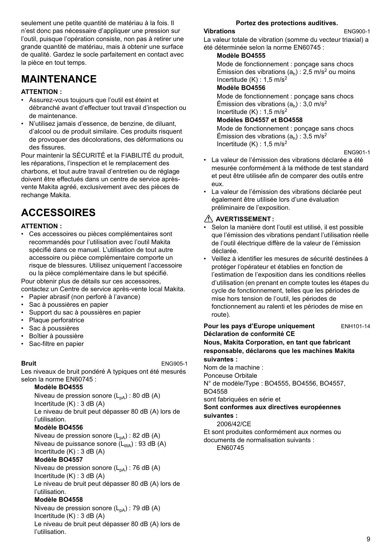seulement une petite quantité de matériau à la fois. Il n'est donc pas nécessaire d'appliquer une pression sur l'outil, puisque l'opération consiste, non pas à retirer une grande quantité de matériau, mais à obtenir une surface de qualité. Gardez le socle parfaitement en contact avec la pièce en tout temps.

# **MAINTENANCE**

#### **ATTENTION :**

- Assurez-vous toujours que l'outil est éteint et débranché avant d'effectuer tout travail d'inspection ou de maintenance.
- N'utilisez jamais d'essence, de benzine, de diluant, d'alcool ou de produit similaire. Ces produits risquent de provoquer des décolorations, des déformations ou des fissures.

Pour maintenir la SÉCURITÉ et la FIABILITÉ du produit, les réparations, l'inspection et le remplacement des charbons, et tout autre travail d'entretien ou de réglage doivent être effectués dans un centre de service aprèsvente Makita agréé, exclusivement avec des pièces de rechange Makita.

# **ACCESSOIRES**

#### **ATTENTION :**

• Ces accessoires ou pièces complémentaires sont recommandés pour l'utilisation avec l'outil Makita spécifié dans ce manuel. L'utilisation de tout autre accessoire ou pièce complémentaire comporte un risque de blessures. Utilisez uniquement l'accessoire ou la pièce complémentaire dans le but spécifié. Pour obtenir plus de détails sur ces accessoires,

contactez un Centre de service après-vente local Makita.

- Papier abrasif (non perforé à l'avance)
- Sac à poussières en papier
- Support du sac à poussières en papier
- Plaque perforatrice
- Sac à poussières
- Boîtier à poussière
- Sac-filtre en papier

**Bruit** ENG905-1

Les niveaux de bruit pondéré A typiques ont été mesurés selon la norme EN60745 :

#### **Modèle BO4555**

Niveau de pression sonore  $(L_{pA})$ : 80 dB (A) Incertitude (K) : 3 dB (A) Le niveau de bruit peut dépasser 80 dB (A) lors de l'utilisation.

#### **Modèle BO4556**

Niveau de pression sonore  $(L_{pA})$  : 82 dB (A) Niveau de puissance sonore  $(L_{WA})$ : 93 dB (A) Incertitude (K) : 3 dB (A)

#### **Modèle BO4557**

Niveau de pression sonore  $(L_{pA})$ : 76 dB (A) Incertitude (K) : 3 dB (A) Le niveau de bruit peut dépasser 80 dB (A) lors de l'utilisation.

#### **Modèle BO4558**

Niveau de pression sonore  $(L_{pA})$  : 79 dB (A) Incertitude (K) : 3 dB (A) Le niveau de bruit peut dépasser 80 dB (A) lors de l'utilisation.

#### **Portez des protections auditives.**

#### **Vibrations** ENG900-1

La valeur totale de vibration (somme du vecteur triaxial) a été déterminée selon la norme EN60745 :

#### **Modèle BO4555**

Mode de fonctionnement : ponçage sans chocs Émission des vibrations  $(a<sub>b</sub>)$  : 2,5 m/s<sup>2</sup> ou moins Incertitude  $(K) \cdot 1.5$  m/s<sup>2</sup>

#### **Modèle BO4556**

Mode de fonctionnement : ponçage sans chocs Émission des vibrations  $(a_n)$ : 3,0 m/s<sup>2</sup> Incertitude  $(K)$  : 1.5 m/s<sup>2</sup>

#### **Modèles BO4557 et BO4558**

Mode de fonctionnement : ponçage sans chocs Émission des vibrations  $(a<sub>h</sub>)$  : 3,5 m/s<sup>2</sup> Incertitude  $(K)$  : 1,5 m/s<sup>2</sup>

ENG901-1

- La valeur de l'émission des vibrations déclarée a été mesurée conformément à la méthode de test standard et peut être utilisée afin de comparer des outils entre eux.
- La valeur de l'émission des vibrations déclarée peut également être utilisée lors d'une évaluation préliminaire de l'exposition.

#### **AVERTISSEMENT :**

- Selon la manière dont l'outil est utilisé, il est possible que l'émission des vibrations pendant l'utilisation réelle de l'outil électrique diffère de la valeur de l'émission déclarée.
- Veillez à identifier les mesures de sécurité destinées à protéger l'opérateur et établies en fonction de l'estimation de l'exposition dans les conditions réelles d'utilisation (en prenant en compte toutes les étapes du cycle de fonctionnement, telles que les périodes de mise hors tension de l'outil, les périodes de fonctionnement au ralenti et les périodes de mise en route).

#### Pour les pays d'Europe uniquement ENH101-14 **Déclaration de conformité CE**

**Nous, Makita Corporation, en tant que fabricant responsable, déclarons que les machines Makita suivantes :**

Nom de la machine :

Ponceuse Orbitale

N° de modèle/Type : BO4555, BO4556, BO4557, BO4558

sont fabriquées en série et

**Sont conformes aux directives européennes suivantes :**

2006/42/CE

Et sont produites conformément aux normes ou documents de normalisation suivants : EN60745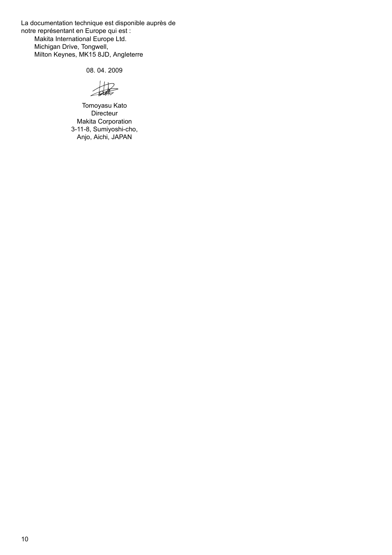La documentation technique est disponible auprès de notre représentant en Europe qui est : Makita International Europe Ltd. Michigan Drive, Tongwell, Milton Keynes, MK15 8JD, Angleterre

08. 04. 2009

撮

Tomoyasu Kato Directeur Makita Corporation 3-11-8, Sumiyoshi-cho, Anjo, Aichi, JAPAN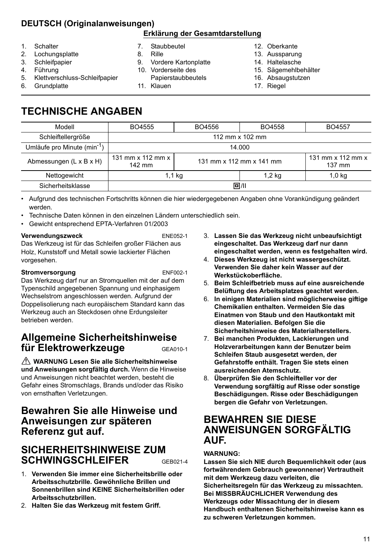# **DEUTSCH (Originalanweisungen)**

### **Erklärung der Gesamtdarstellung**

- 1. Schalter
- 2. Lochungsplatte
- 3. Schleifpapier
- 4. Führung
- 5. Klettverschluss-Schleifpapier
- 6. Grundplatte
- 7. Staubbeutel
- 8. Rille
- 9. Vordere Kartonplatte
- 10. Vorderseite des
- Papierstaubbeutels
- 11. Klauen
- 12. Oberkante
- 13. Aussparung
- 14. Haltelasche
- 15. Sägemehlbehälter
- 16. Absaugstutzen
- 17. Riegel

# **TECHNISCHE ANGABEN**

| BO4555                                    | BO4556                   | BO4558   | BO4557                                              |
|-------------------------------------------|--------------------------|----------|-----------------------------------------------------|
| 112 mm x 102 mm                           |                          |          |                                                     |
| 14.000                                    |                          |          |                                                     |
| 131 mm $\times$ 112 mm $\times$<br>142 mm | 131 mm x 112 mm x 141 mm |          | 131 mm $\times$ 112 mm $\times$<br>$137 \text{ mm}$ |
| 1,1 kg                                    |                          | $1,2$ kg | $1,0$ kg                                            |
| 回/11                                      |                          |          |                                                     |
|                                           |                          |          |                                                     |

• Aufgrund des technischen Fortschritts können die hier wiedergegebenen Angaben ohne Vorankündigung geändert werden.

- Technische Daten können in den einzelnen Ländern unterschiedlich sein.
- Gewicht entsprechend EPTA-Verfahren 01/2003

#### **Verwendungszweck** ENE052-1

Das Werkzeug ist für das Schleifen großer Flächen aus Holz, Kunststoff und Metall sowie lackierter Flächen vorgesehen.

#### **Stromversorgung** ENF002-1

Das Werkzeug darf nur an Stromquellen mit der auf dem Typenschild angegebenen Spannung und einphasigem Wechselstrom angeschlossen werden. Aufgrund der Doppelisolierung nach europäischem Standard kann das Werkzeug auch an Steckdosen ohne Erdungsleiter betrieben werden.

# **Allgemeine Sicherheitshinweise für Elektrowerkzeuge** GEA010-1

 **WARNUNG Lesen Sie alle Sicherheitshinweise und Anweisungen sorgfältig durch.** Wenn die Hinweise und Anweisungen nicht beachtet werden, besteht die Gefahr eines Stromschlags, Brands und/oder das Risiko von ernsthaften Verletzungen.

# **Bewahren Sie alle Hinweise und Anweisungen zur späteren Referenz gut auf.**

# **SICHERHEITSHINWEISE ZUM SCHWINGSCHLEIFER** GEB021-4

1. **Verwenden Sie immer eine Sicherheitsbrille oder Arbeitsschutzbrille. Gewöhnliche Brillen und Sonnenbrillen sind KEINE Sicherheitsbrillen oder Arbeitsschutzbrillen.**

2. **Halten Sie das Werkzeug mit festem Griff.**

- 3. **Lassen Sie das Werkzeug nicht unbeaufsichtigt eingeschaltet. Das Werkzeug darf nur dann eingeschaltet werden, wenn es festgehalten wird.**
- 4. **Dieses Werkzeug ist nicht wassergeschützt. Verwenden Sie daher kein Wasser auf der Werkstückoberfläche.**
- 5. **Beim Schleifbetrieb muss auf eine ausreichende Belüftung des Arbeitsplatzes geachtet werden.**
- 6. **In einigen Materialien sind möglicherweise giftige Chemikalien enthalten. Vermeiden Sie das Einatmen von Staub und den Hautkontakt mit diesen Materialien. Befolgen Sie die Sicherheitshinweise des Materialherstellers.**
- 7. **Bei manchen Produkten, Lackierungen und Holzverarbeitungen kann der Benutzer beim Schleifen Staub ausgesetzt werden, der Gefahrstoffe enthält. Tragen Sie stets einen ausreichenden Atemschutz.**
- 8. **Überprüfen Sie den Schleifteller vor der Verwendung sorgfältig auf Risse oder sonstige Beschädigungen. Risse oder Beschädigungen bergen die Gefahr von Verletzungen.**

# **BEWAHREN SIE DIESE ANWEISUNGEN SORGFÄLTIG AUF.**

#### **WARNUNG:**

**Lassen Sie sich NIE durch Bequemlichkeit oder (aus fortwährendem Gebrauch gewonnener) Vertrautheit mit dem Werkzeug dazu verleiten, die Sicherheitsregeln für das Werkzeug zu missachten. Bei MISSBRÄUCHLICHER Verwendung des Werkzeugs oder Missachtung der in diesem Handbuch enthaltenen Sicherheitshinweise kann es zu schweren Verletzungen kommen.**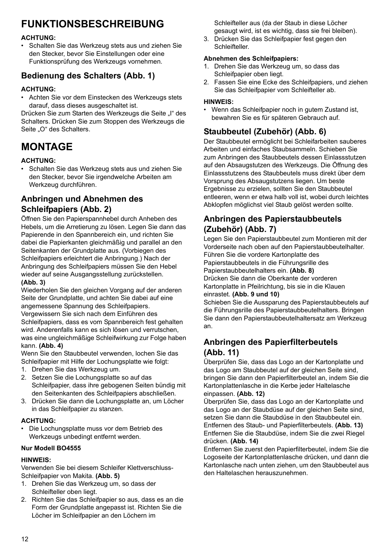# **FUNKTIONSBESCHREIBUNG**

#### **ACHTUNG:**

• Schalten Sie das Werkzeug stets aus und ziehen Sie den Stecker, bevor Sie Einstellungen oder eine Funktionsprüfung des Werkzeugs vornehmen.

# **Bedienung des Schalters (Abb. 1)**

#### **ACHTUNG:**

• Achten Sie vor dem Einstecken des Werkzeugs stets darauf, dass dieses ausgeschaltet ist.

Drücken Sie zum Starten des Werkzeugs die Seite "I" des Schalters. Drücken Sie zum Stoppen des Werkzeugs die Seite "O" des Schalters.

# **MONTAGE**

#### **ACHTUNG:**

• Schalten Sie das Werkzeug stets aus und ziehen Sie den Stecker, bevor Sie irgendwelche Arbeiten am Werkzeug durchführen.

### **Anbringen und Abnehmen des Schleifpapiers (Abb. 2)**

Öffnen Sie den Papierspannhebel durch Anheben des Hebels, um die Arretierung zu lösen. Legen Sie dann das Papierende in den Spannbereich ein, und richten Sie dabei die Papierkanten gleichmäßig und parallel an den Seitenkanten der Grundplatte aus. (Vorbiegen des Schleifpapiers erleichtert die Anbringung.) Nach der Anbringung des Schleifpapiers müssen Sie den Hebel wieder auf seine Ausgangsstellung zurückstellen. **(Abb. 3)**

Wiederholen Sie den gleichen Vorgang auf der anderen Seite der Grundplatte, und achten Sie dabei auf eine angemessene Spannung des Schleifpapiers. Vergewissern Sie sich nach dem Einführen des Schleifpapiers, dass es vom Spannbereich fest gehalten wird. Anderenfalls kann es sich lösen und verrutschen, was eine ungleichmäßige Schleifwirkung zur Folge haben kann. **(Abb. 4)**

Wenn Sie den Staubbeutel verwenden, lochen Sie das Schleifpapier mit Hilfe der Lochungsplatte wie folgt:

- 1. Drehen Sie das Werkzeug um.
- 2. Setzen Sie die Lochungsplatte so auf das Schleifpapier, dass ihre gebogenen Seiten bündig mit den Seitenkanten des Schleifpapiers abschließen.
- 3. Drücken Sie dann die Lochungsplatte an, um Löcher in das Schleifpapier zu stanzen.

#### **ACHTUNG:**

• Die Lochungsplatte muss vor dem Betrieb des Werkzeugs unbedingt entfernt werden.

#### **Nur Modell BO4555**

#### **HINWEIS:**

Verwenden Sie bei diesem Schleifer Klettverschluss-Schleifpapier von Makita. **(Abb. 5)**

- 1. Drehen Sie das Werkzeug um, so dass der Schleifteller oben liegt.
- 2. Richten Sie das Schleifpapier so aus, dass es an die Form der Grundplatte angepasst ist. Richten Sie die Löcher im Schleifpapier an den Löchern im

Schleifteller aus (da der Staub in diese Löcher gesaugt wird, ist es wichtig, dass sie frei bleiben).

3. Drücken Sie das Schleifpapier fest gegen den Schleifteller.

#### **Abnehmen des Schleifpapiers:**

- 1. Drehen Sie das Werkzeug um, so dass das Schleifpapier oben liegt.
- 2. Fassen Sie eine Ecke des Schleifpapiers, und ziehen Sie das Schleifpapier vom Schleifteller ab.

#### **HINWEIS:**

• Wenn das Schleifpapier noch in gutem Zustand ist, bewahren Sie es für späteren Gebrauch auf.

## **Staubbeutel (Zubehör) (Abb. 6)**

Der Staubbeutel ermöglicht bei Schleifarbeiten sauberes Arbeiten und einfaches Staubsammeln. Schieben Sie zum Anbringen des Staubbeutels dessen Einlassstutzen auf den Absaugstutzen des Werkzeugs. Die Öffnung des Einlassstutzens des Staubbeutels muss direkt über dem Vorsprung des Absaugstutzens liegen. Um beste Ergebnisse zu erzielen, sollten Sie den Staubbeutel entleeren, wenn er etwa halb voll ist, wobei durch leichtes Abklopfen möglichst viel Staub gelöst werden sollte.

## **Anbringen des Papierstaubbeutels (Zubehör) (Abb. 7)**

Legen Sie den Papierstaubbeutel zum Montieren mit der Vorderseite nach oben auf den Papierstaubbeutelhalter. Führen Sie die vordere Kartonplatte des Papierstaubbeutels in die Führungsrille des Papierstaubbeutelhalters ein. **(Abb. 8)** Drücken Sie dann die Oberkante der vorderen Kartonplatte in Pfeilrichtung, bis sie in die Klauen einrastet. **(Abb. 9 und 10)**

Schieben Sie die Aussparung des Papierstaubbeutels auf die Führungsrille des Papierstaubbeutelhalters. Bringen Sie dann den Papierstaubbeutelhaltersatz am Werkzeug an.

### **Anbringen des Papierfilterbeutels (Abb. 11)**

Überprüfen Sie, dass das Logo an der Kartonplatte und das Logo am Staubbeutel auf der gleichen Seite sind, bringen Sie dann den Papierfilterbeutel an, indem Sie die Kartonplattenlasche in die Kerbe jeder Haltelasche einpassen. **(Abb. 12)**

Überprüfen Sie, dass das Logo an der Kartonplatte und das Logo an der Staubdüse auf der gleichen Seite sind, setzen Sie dann die Staubdüse in den Staubbeutel ein. Entfernen des Staub- und Papierfilterbeutels. **(Abb. 13)** Entfernen Sie die Staubdüse, indem Sie die zwei Riegel drücken. **(Abb. 14)**

Entfernen Sie zuerst den Papierfilterbeutel, indem Sie die Logoseite der Kartonplattenlasche drücken, und dann die Kartonlasche nach unten ziehen, um den Staubbeutel aus den Haltelaschen herauszunehmen.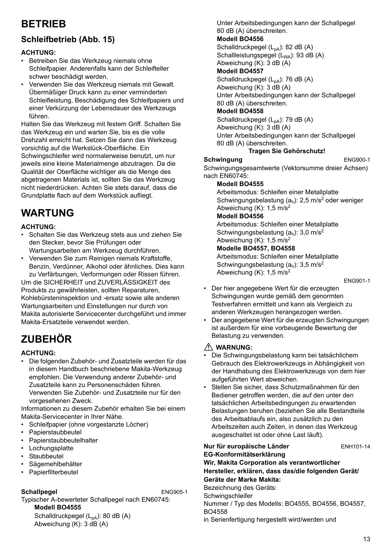# **BETRIEB**

## **Schleifbetrieb (Abb. 15)**

#### **ACHTUNG:**

- Betreiben Sie das Werkzeug niemals ohne Schleifpapier. Anderenfalls kann der Schleifteller schwer beschädigt werden.
- Verwenden Sie das Werkzeug niemals mit Gewalt. Übermäßiger Druck kann zu einer verminderten Schleifleistung, Beschädigung des Schleifpapiers und einer Verkürzung der Lebensdauer des Werkzeugs führen.

Halten Sie das Werkzeug mit festem Griff. Schalten Sie das Werkzeug ein und warten Sie, bis es die volle Drehzahl erreicht hat. Setzen Sie dann das Werkzeug vorsichtig auf die Werkstück-Oberfläche. Ein Schwingschleifer wird normalerweise benutzt, um nur jeweils eine kleine Materialmenge abzutragen. Da die Qualität der Oberfläche wichtiger als die Menge des abgetragenen Materials ist, sollten Sie das Werkzeug nicht niederdrücken. Achten Sie stets darauf, dass die Grundplatte flach auf dem Werkstück aufliegt.

# **WARTUNG**

#### **ACHTUNG:**

- Schalten Sie das Werkzeug stets aus und ziehen Sie den Stecker, bevor Sie Prüfungen oder Wartungsarbeiten am Werkzeug durchführen.
- Verwenden Sie zum Reinigen niemals Kraftstoffe, Benzin, Verdünner, Alkohol oder ähnliches. Dies kann zu Verfärbungen, Verformungen oder Rissen führen.

Um die SICHERHEIT und ZUVERLÄSSIGKEIT des Produkts zu gewährleisten, sollten Reparaturen, Kohlebürsteninspektion und -ersatz sowie alle anderen Wartungsarbeiten und Einstellungen nur durch von Makita autorisierte Servicecenter durchgeführt und immer Makita-Ersatzteile verwendet werden.

# **ZUBEHÖR**

#### **ACHTUNG:**

• Die folgenden Zubehör- und Zusatzteile werden für das in diesem Handbuch beschriebene Makita-Werkzeug empfohlen. Die Verwendung anderer Zubehör- und Zusatzteile kann zu Personenschäden führen. Verwenden Sie Zubehör- und Zusatzteile nur für den vorgesehenen Zweck.

Informationen zu diesem Zubehör erhalten Sie bei einem Makita-Servicecenter in Ihrer Nähe.

- Schleifpapier (ohne vorgestanzte Löcher)
- Papierstaubbeutel
- Papierstaubbeutelhalter
- **Lochungsplatte**
- **Staubbeutel**
- Sägemehlbehälter
- Papierfilterbeutel

#### **Schallpegel** ENG905-1

Typischer A-bewerteter Schallpegel nach EN60745: **Modell BO4555**

Schalldruckpegel  $(L_{pA})$ : 80 dB  $(A)$ Abweichung (K): 3 dB (A)

Unter Arbeitsbedingungen kann der Schallpegel 80 dB (A) überschreiten.

#### **Modell BO4556**

Schalldruckpegel  $(L_{pA})$ : 82 dB  $(A)$ Schallleistungspegel (L<sub>WA</sub>): 93 dB (A) Abweichung (K): 3 dB (A)

### **Modell BO4557**

Schalldruckpegel  $(L_{pA})$ : 76 dB  $(A)$ Abweichung  $(K)$ : 3 dB  $(A)$ Unter Arbeitsbedingungen kann der Schallpegel 80 dB (A) überschreiten.

### **Modell BO4558**

Schalldruckpegel  $(L_{pA})$ : 79 dB  $(A)$ Abweichung (K): 3 dB (A) Unter Arbeitsbedingungen kann der Schallpegel 80 dB (A) überschreiten.

### **Tragen Sie Gehörschutz!**

#### **Schwingung** ENG900-1

Schwingungsgesamtwerte (Vektorsumme dreier Achsen) nach EN60745:

#### **Modell BO4555**

Arbeitsmodus: Schleifen einer Metallplatte Schwingungsbelastung  $(a_h)$ : 2,5 m/s<sup>2</sup> oder weniger Abweichung  $(K)$ : 1,5 m/s<sup>2</sup>

### **Modell BO4556**

Arbeitsmodus: Schleifen einer Metallplatte Schwingungsbelastung  $(a<sub>b</sub>)$ : 3,0 m/s<sup>2</sup> Abweichung  $(K)$ : 1,5 m/s<sup>2</sup>

#### **Modelle BO4557, BO4558**

Arbeitsmodus: Schleifen einer Metallplatte Schwingungsbelastung  $(a_h)$ : 3,5 m/s<sup>2</sup> Abweichung  $(K)$ : 1,5 m/s<sup>2</sup>

ENG901-1

- Der hier angegebene Wert für die erzeugten Schwingungen wurde gemäß dem genormten Testverfahren ermittelt und kann als Vergleich zu anderen Werkzeugen herangezogen werden.
- Der angegebene Wert für die erzeugten Schwingungen ist außerdem für eine vorbeugende Bewertung der Belastung zu verwenden.

#### **WARNUNG:**

- Die Schwingungsbelastung kann bei tatsächlichem Gebrauch des Elektrowerkzeugs in Abhängigkeit von der Handhabung des Elektrowerkzeugs von dem hier aufgeführten Wert abweichen.
- Stellen Sie sicher, dass Schutzmaßnahmen für den Bediener getroffen werden, die auf den unter den tatsächlichen Arbeitsbedingungen zu erwartenden Belastungen beruhen (beziehen Sie alle Bestandteile des Arbeitsablaufs ein, also zusätzlich zu den Arbeitszeiten auch Zeiten, in denen das Werkzeug ausgeschaltet ist oder ohne Last läuft).

**Nur für europäische Länder** ENH101-14 **EG-Konformitätserklärung Wir, Makita Corporation als verantwortlicher Hersteller, erklären, dass das/die folgenden Gerät/ Geräte der Marke Makita:** Bezeichnung des Geräts: **Schwingschleifer** Nummer / Typ des Modells: BO4555, BO4556, BO4557, BO4558 in Serienfertigung hergestellt wird/werden und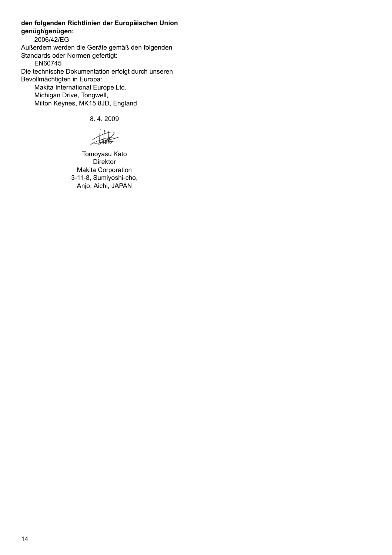**den folgenden Richtlinien der Europäischen Union genügt/genügen:** 2006/42/EG Außerdem werden die Geräte gemäß den folgenden Standards oder Normen gefertigt: EN60745 Die technische Dokumentation erfolgt durch unseren Bevollmächtigten in Europa: Makita International Europe Ltd. Michigan Drive, Tongwell, Milton Keynes, MK15 8JD, England

8. 4. 2009

捉

Tomoyasu Kato Direktor Makita Corporation 3-11-8, Sumiyoshi-cho, Anjo, Aichi, JAPAN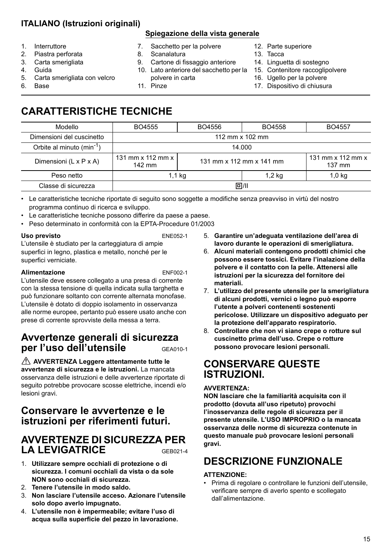# **ITALIANO (Istruzioni originali)**

#### 1. Interruttore

- 2. Piastra perforata
- 3. Carta smerigliata
- 4. Guida
- 5. Carta smerigliata con velcro
- 6. Base
- **Spiegazione della vista generale**
- 7. Sacchetto per la polvere
- 8. Scanalatura

11. Pinze

- 9. Cartone di fissaggio anteriore
- 10. Lato anteriore del sacchetto per la polvere in carta
- 12. Parte superiore
- 13. Tacca
- 14. Linguetta di sostegno
- 15. Contenitore raccoglipolvere
- 16. Ugello per la polvere
- 17. Dispositivo di chiusura

# **CARATTERISTICHE TECNICHE**

| Modello                               | BO4555                      | BO4556                   | BO4558 | BO4557                                    |
|---------------------------------------|-----------------------------|--------------------------|--------|-------------------------------------------|
| Dimensioni del cuscinetto             | 112 mm x 102 mm             |                          |        |                                           |
| Orbite al minuto (min <sup>-1</sup> ) | 14.000                      |                          |        |                                           |
| Dimensioni (L x P x A)                | 131 mm x 112 mm x<br>142 mm | 131 mm x 112 mm x 141 mm |        | 131 mm $\times$ 112 mm $\times$<br>137 mm |
| Peso netto                            | 1,1 kg                      |                          | 1,2 kg | 1,0 kg                                    |
| Classe di sicurezza                   | 同川                          |                          |        |                                           |
|                                       |                             |                          |        |                                           |

• Le caratteristiche tecniche riportate di seguito sono soggette a modifiche senza preavviso in virtù del nostro programma continuo di ricerca e sviluppo.

- Le caratteristiche tecniche possono differire da paese a paese.
- Peso determinato in conformità con la EPTA-Procedure 01/2003

#### Uso previsto **ENE052-1**

L'utensile è studiato per la carteggiatura di ampie superfici in legno, plastica e metallo, nonché per le superfici verniciate.

#### **Alimentazione** ENF002-1

L'utensile deve essere collegato a una presa di corrente con la stessa tensione di quella indicata sulla targhetta e può funzionare soltanto con corrente alternata monofase. L'utensile è dotato di doppio isolamento in osservanza alle norme europee, pertanto può essere usato anche con prese di corrente sprovviste della messa a terra.

# **Avvertenze generali di sicurezza per l'uso dell'utensile** GEA010-1

 **AVVERTENZA Leggere attentamente tutte le avvertenze di sicurezza e le istruzioni.** La mancata osservanza delle istruzioni e delle avvertenze riportate di seguito potrebbe provocare scosse elettriche, incendi e/o lesioni gravi.

# **Conservare le avvertenze e le istruzioni per riferimenti futuri.**

# **AVVERTENZE DI SICUREZZA PER**  LA LEVIGATRICE **GEB021-4**

- 1. **Utilizzare sempre occhiali di protezione o di sicurezza. I comuni occhiali da vista o da sole NON sono occhiali di sicurezza.**
- 2. **Tenere l'utensile in modo saldo.**
- 3. **Non lasciare l'utensile acceso. Azionare l'utensile solo dopo averlo impugnato.**
- 4. **L'utensile non è impermeabile; evitare l'uso di acqua sulla superficie del pezzo in lavorazione.**
- 5. **Garantire un'adeguata ventilazione dell'area di lavoro durante le operazioni di smerigliatura.**
- 6. **Alcuni materiali contengono prodotti chimici che possono essere tossici. Evitare l'inalazione della polvere e il contatto con la pelle. Attenersi alle istruzioni per la sicurezza del fornitore dei materiali.**
- 7. **L'utilizzo del presente utensile per la smerigliatura di alcuni prodotti, vernici o legno può esporre l'utente a polveri contenenti sostenenti pericolose. Utilizzare un dispositivo adeguato per la protezione dell'apparato respiratorio.**
- 8. **Controllare che non vi siano crepe o rotture sul cuscinetto prima dell'uso. Crepe o rotture possono provocare lesioni personali.**

# **CONSERVARE QUESTE ISTRUZIONI.**

#### **AVVERTENZA:**

**NON lasciare che la familiarità acquisita con il prodotto (dovuta all'uso ripetuto) provochi l'inosservanza delle regole di sicurezza per il presente utensile. L'USO IMPROPRIO o la mancata osservanza delle norme di sicurezza contenute in questo manuale può provocare lesioni personali gravi.**

# **DESCRIZIONE FUNZIONALE**

#### **ATTENZIONE:**

• Prima di regolare o controllare le funzioni dell'utensile, verificare sempre di averlo spento e scollegato dall'alimentazione.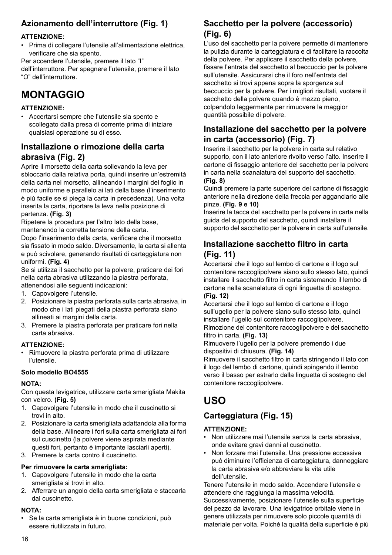## **Azionamento dell'interruttore (Fig. 1)**

#### **ATTENZIONE:**

• Prima di collegare l'utensile all'alimentazione elettrica, verificare che sia spento.

Per accendere l'utensile, premere il lato "I"

dell'interruttore. Per spegnere l'utensile, premere il lato "O" dell'interruttore.

# **MONTAGGIO**

#### **ATTENZIONE:**

• Accertarsi sempre che l'utensile sia spento e scollegato dalla presa di corrente prima di iniziare qualsiasi operazione su di esso.

### **Installazione o rimozione della carta abrasiva (Fig. 2)**

Aprire il morsetto della carta sollevando la leva per sbloccarlo dalla relativa porta, quindi inserire un'estremità della carta nel morsetto, allineando i margini del foglio in modo uniforme e parallelo ai lati della base (l'inserimento è più facile se si piega la carta in precedenza). Una volta inserita la carta, riportare la leva nella posizione di partenza. **(Fig. 3)**

Ripetere la procedura per l'altro lato della base, mantenendo la corretta tensione della carta.

Dopo l'inserimento della carta, verificare che il morsetto sia fissato in modo saldo. Diversamente, la carta si allenta e può scivolare, generando risultati di carteggiatura non uniformi. **(Fig. 4)**

Se si utilizza il sacchetto per la polvere, praticare dei fori nella carta abrasiva utilizzando la piastra perforata, attenendosi alle seguenti indicazioni:

- 1. Capovolgere l'utensile.
- 2. Posizionare la piastra perforata sulla carta abrasiva, in modo che i lati piegati della piastra perforata siano allineati ai margini della carta.
- 3. Premere la piastra perforata per praticare fori nella carta abrasiva.

#### **ATTENZIONE:**

• Rimuovere la piastra perforata prima di utilizzare l'utensile.

#### **Solo modello BO4555**

#### **NOTA:**

Con questa levigatrice, utilizzare carta smerigliata Makita con velcro. **(Fig. 5)**

- 1. Capovolgere l'utensile in modo che il cuscinetto si trovi in alto.
- 2. Posizionare la carta smerigliata adattandola alla forma della base. Allineare i fori sulla carta smerigliata ai fori sul cuscinetto (la polvere viene aspirata mediante questi fori, pertanto è importante lasciarli aperti).
- 3. Premere la carta contro il cuscinetto.

#### **Per rimuovere la carta smerigliata:**

- 1. Capovolgere l'utensile in modo che la carta smerigliata si trovi in alto.
- 2. Afferrare un angolo della carta smerigliata e staccarla dal cuscinetto.

#### **NOTA:**

• Se la carta smerigliata è in buone condizioni, può essere riutilizzata in futuro.

### **Sacchetto per la polvere (accessorio) (Fig. 6)**

L'uso del sacchetto per la polvere permette di mantenere la pulizia durante la carteggiatura e di facilitare la raccolta della polvere. Per applicare il sacchetto della polvere, fissare l'entrata del sacchetto al beccuccio per la polvere sull'utensile. Assicurarsi che il foro nell'entrata del sacchetto si trovi appena sopra la sporgenza sul beccuccio per la polvere. Per i migliori risultati, vuotare il sacchetto della polvere quando è mezzo pieno, colpendolo leggermente per rimuovere la maggior quantità possibile di polvere.

### **Installazione del sacchetto per la polvere in carta (accessorio) (Fig. 7)**

Inserire il sacchetto per la polvere in carta sul relativo supporto, con il lato anteriore rivolto verso l'alto. Inserire il cartone di fissaggio anteriore del sacchetto per la polvere in carta nella scanalatura del supporto del sacchetto.

#### **(Fig. 8)**

Quindi premere la parte superiore del cartone di fissaggio anteriore nella direzione della freccia per agganciarlo alle pinze. **(Fig. 9 e 10)**

Inserire la tacca del sacchetto per la polvere in carta nella guida del supporto del sacchetto, quindi installare il supporto del sacchetto per la polvere in carta sull'utensile.

### **Installazione sacchetto filtro in carta (Fig. 11)**

Accertarsi che il logo sul lembo di cartone e il logo sul contenitore raccoglipolvere siano sullo stesso lato, quindi installare il sacchetto filtro in carta sistemando il lembo di cartone nella scanalatura di ogni linguetta di sostegno. **(Fig. 12)**

Accertarsi che il logo sul lembo di cartone e il logo sull'ugello per la polvere siano sullo stesso lato, quindi installare l'ugello sul contenitore raccoglipolvere.

Rimozione del contenitore raccoglipolvere e del sacchetto filtro in carta. **(Fig. 13)**

Rimuovere l'ugello per la polvere premendo i due dispositivi di chiusura. **(Fig. 14)**

Rimuovere il sacchetto filtro in carta stringendo il lato con il logo del lembo di cartone, quindi spingendo il lembo verso il basso per estrarlo dalla linguetta di sostegno del contenitore raccoglipolvere.

# **USO**

# **Carteggiatura (Fig. 15)**

#### **ATTENZIONE:**

- Non utilizzare mai l'utensile senza la carta abrasiva, onde evitare gravi danni al cuscinetto.
- Non forzare mai l'utensile. Una pressione eccessiva può diminuire l'efficienza di carteggiatura, danneggiare la carta abrasiva e/o abbreviare la vita utile dell'utensile.

Tenere l'utensile in modo saldo. Accendere l'utensile e attendere che raggiunga la massima velocità. Successivamente, posizionare l'utensile sulla superficie del pezzo da lavorare. Una levigatrice orbitale viene in genere utilizzata per rimuovere solo piccole quantità di materiale per volta. Poiché la qualità della superficie è più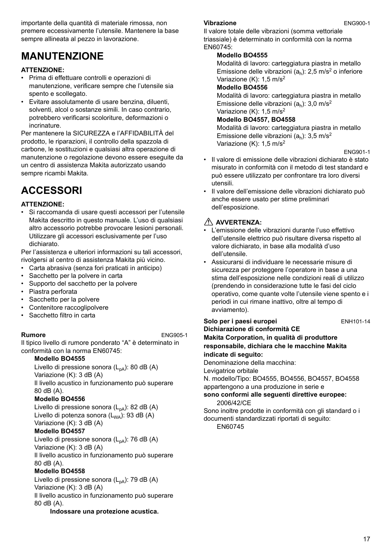importante della quantità di materiale rimossa, non premere eccessivamente l'utensile. Mantenere la base sempre allineata al pezzo in lavorazione.

# **MANUTENZIONE**

#### **ATTENZIONE:**

- Prima di effettuare controlli e operazioni di manutenzione, verificare sempre che l'utensile sia spento e scollegato.
- Evitare assolutamente di usare benzina, diluenti, solventi, alcol o sostanze simili. In caso contrario, potrebbero verificarsi scoloriture, deformazioni o incrinature.

Per mantenere la SICUREZZA e l'AFFIDABILITÀ del prodotto, le riparazioni, il controllo della spazzola di carbone, le sostituzioni e qualsiasi altra operazione di manutenzione o regolazione devono essere eseguite da un centro di assistenza Makita autorizzato usando sempre ricambi Makita.

# **ACCESSORI**

#### **ATTENZIONE:**

• Si raccomanda di usare questi accessori per l'utensile Makita descritto in questo manuale. L'uso di qualsiasi altro accessorio potrebbe provocare lesioni personali. Utilizzare gli accessori esclusivamente per l'uso dichiarato.

Per l'assistenza e ulteriori informazioni su tali accessori. rivolgersi al centro di assistenza Makita più vicino.

- Carta abrasiva (senza fori praticati in anticipo)
- Sacchetto per la polvere in carta
- Supporto del sacchetto per la polvere
- Piastra perforata
- Sacchetto per la polvere
- Contenitore raccoglipolvere
- Sacchetto filtro in carta

**Rumore** ENG905-1 Il tipico livello di rumore ponderato "A" è determinato in conformità con la norma EN60745:

#### **Modello BO4555**

Livello di pressione sonora  $(L_{pA})$ : 80 dB (A) Variazione (K): 3 dB (A) Il livello acustico in funzionamento può superare

# 80 dB (A).

### **Modello BO4556**

Livello di pressione sonora  $(L_{pA})$ : 82 dB  $(A)$ Livello di potenza sonora  $(L_{WA})$ : 93 dB (A) Variazione (K): 3 dB (A)

#### **Modello BO4557**

Livello di pressione sonora  $(L_{pA})$ : 76 dB (A) Variazione (K): 3 dB (A)

Il livello acustico in funzionamento può superare 80 dB (A).

#### **Modello BO4558**

Livello di pressione sonora  $(L_{pA})$ : 79 dB  $(A)$ Variazione (K): 3 dB (A) Il livello acustico in funzionamento può superare 80 dB (A).

#### **Indossare una protezione acustica.**

#### **Vibrazione** ENG900-1

Il valore totale delle vibrazioni (somma vettoriale triassiale) è determinato in conformità con la norma EN60745:

#### **Modello BO4555**

Modalità di lavoro: carteggiatura piastra in metallo Emissione delle vibrazioni  $(a<sub>b</sub>)$ : 2,5 m/s<sup>2</sup> o inferiore Variazione (K): 1.5 m/s<sup>2</sup>

#### **Modello BO4556**

Modalità di lavoro: carteggiatura piastra in metallo Emissione delle vibrazioni  $(a<sub>b</sub>)$ : 3,0 m/s<sup>2</sup> Variazione (K): 1,5 m/s<sup>2</sup>

#### **Modello BO4557, BO4558**

Modalità di lavoro: carteggiatura piastra in metallo Emissione delle vibrazioni ( $a_h$ ): 3,5 m/s<sup>2</sup> Variazione (K): 1.5 m/s<sup>2</sup>

ENG901-1

- Il valore di emissione delle vibrazioni dichiarato è stato misurato in conformità con il metodo di test standard e può essere utilizzato per confrontare tra loro diversi utensili.
- Il valore dell'emissione delle vibrazioni dichiarato può anche essere usato per stime preliminari dell'esposizione.

### **AVVERTENZA:**

- L'emissione delle vibrazioni durante l'uso effettivo dell'utensile elettrico può risultare diversa rispetto al valore dichiarato, in base alla modalità d'uso dell'utensile.
- Assicurarsi di individuare le necessarie misure di sicurezza per proteggere l'operatore in base a una stima dell'esposizione nelle condizioni reali di utilizzo (prendendo in considerazione tutte le fasi del ciclo operativo, come quante volte l'utensile viene spento e i periodi in cui rimane inattivo, oltre al tempo di avviamento).

#### **Solo per i paesi europei ENH101-14**

**Dichiarazione di conformità CE Makita Corporation, in qualità di produttore responsabile, dichiara che le macchine Makita indicate di seguito:**

Denominazione della macchina:

Levigatrice orbitale

N. modello/Tipo: BO4555, BO4556, BO4557, BO4558 appartengono a una produzione in serie e

#### **sono conformi alle seguenti direttive europee:** 2006/42/CE

Sono inoltre prodotte in conformità con gli standard o i documenti standardizzati riportati di seguito:

EN60745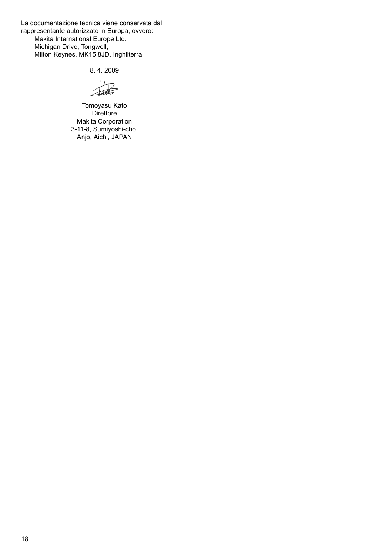La documentazione tecnica viene conservata dal rappresentante autorizzato in Europa, ovvero: Makita International Europe Ltd. Michigan Drive, Tongwell, Milton Keynes, MK15 8JD, Inghilterra

8. 4. 2009

撮

Tomoyasu Kato Direttore Makita Corporation 3-11-8, Sumiyoshi-cho, Anjo, Aichi, JAPAN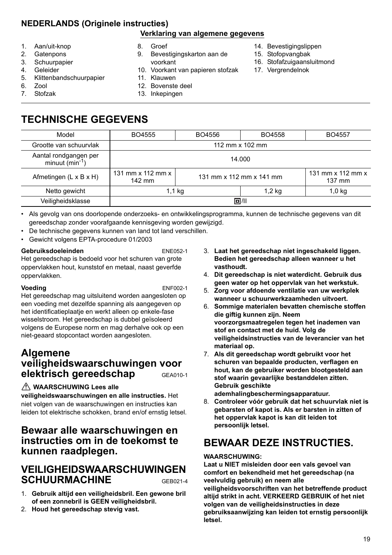# **NEDERLANDS (Originele instructies)**

#### **Verklaring van algemene gegevens**

- 1. Aan/uit-knop
- 2. Gatenpons
- 3. Schuurpapier
- 4. Geleider
- 5. Klittenbandschuurpapier
- 6. Zool
- 7. Stofzak
- 8. Groef
- 9. Bevestigingskarton aan de voorkant
- 10. Voorkant van papieren stofzak
- 11. Klauwen
- 12. Bovenste deel
- 13. Inkepingen
- 14. Bevestigingslippen
- 15. Stofopvangbak
- 16. Stofafzuigaansluitmond
- 17. Vergrendelnok

**TECHNISCHE GEGEVENS**

| Model                                                | BO4555                                    | BO4556                   | BO4558   | BO4557                                              |
|------------------------------------------------------|-------------------------------------------|--------------------------|----------|-----------------------------------------------------|
| Grootte van schuurvlak                               | 112 mm x 102 mm                           |                          |          |                                                     |
| Aantal rondgangen per<br>minuut (min <sup>-1</sup> ) | 14.000                                    |                          |          |                                                     |
| Afmetingen $(L \times B \times H)$                   | 131 mm $\times$ 112 mm $\times$<br>142 mm | 131 mm x 112 mm x 141 mm |          | 131 mm $\times$ 112 mm $\times$<br>$137 \text{ mm}$ |
| Netto gewicht                                        | 1,1 kg                                    |                          | $1,2$ kg | $1,0$ kg                                            |
| Veiligheidsklasse                                    |                                           |                          | 回/11     |                                                     |

- Als gevolg van ons doorlopende onderzoeks- en ontwikkelingsprogramma, kunnen de technische gegevens van dit gereedschap zonder voorafgaande kennisgeving worden gewijzigd.
- De technische gegevens kunnen van land tot land verschillen.
- Gewicht volgens EPTA-procedure 01/2003

#### **Gebruiksdoeleinden** ENE052-1

Het gereedschap is bedoeld voor het schuren van grote oppervlakken hout, kunststof en metaal, naast geverfde oppervlakken.

#### **Voeding** ENF002-1

Het gereedschap mag uitsluitend worden aangesloten op een voeding met dezelfde spanning als aangegeven op het identificatieplaatje en werkt alleen op enkele-fase wisselstroom. Het gereedschap is dubbel geïsoleerd volgens de Europese norm en mag derhalve ook op een niet-geaard stopcontact worden aangesloten.

# **Algemene veiligheidswaarschuwingen voor elektrisch gereedschap** GEA010-1

#### **WAARSCHUWING Lees alle**

**veiligheidswaarschuwingen en alle instructies.** Het niet volgen van de waarschuwingen en instructies kan leiden tot elektrische schokken, brand en/of ernstig letsel.

## **Bewaar alle waarschuwingen en instructies om in de toekomst te kunnen raadplegen.**

## **VEILIGHEIDSWAARSCHUWINGEN SCHUURMACHINE** GEB021-4

- 1. **Gebruik altijd een veiligheidsbril. Een gewone bril of een zonnebril is GEEN veiligheidsbril.**
- 2. **Houd het gereedschap stevig vast.**
- 3. **Laat het gereedschap niet ingeschakeld liggen. Bedien het gereedschap alleen wanneer u het vasthoudt.**
- 4. **Dit gereedschap is niet waterdicht. Gebruik dus geen water op het oppervlak van het werkstuk.**
- 5. **Zorg voor afdoende ventilatie van uw werkplek wanneer u schuurwerkzaamheden uitvoert.**
- 6. **Sommige materialen bevatten chemische stoffen die giftig kunnen zijn. Neem voorzorgsmaatregelen tegen het inademen van stof en contact met de huid. Volg de veiligheidsinstructies van de leverancier van het materiaal op.**
- 7. **Als dit gereedschap wordt gebruikt voor het schuren van bepaalde producten, verflagen en hout, kan de gebruiker worden blootgesteld aan stof waarin gevaarlijke bestanddelen zitten. Gebruik geschikte ademhalingbeschermingsapparatuur.**
- 8. **Controleer vóór gebruik dat het schuurvlak niet is gebarsten of kapot is. Als er barsten in zitten of het oppervlak kapot is kan dit leiden tot persoonlijk letsel.**

# **BEWAAR DEZE INSTRUCTIES.**

#### **WAARSCHUWING:**

**Laat u NIET misleiden door een vals gevoel van comfort en bekendheid met het gereedschap (na veelvuldig gebruik) en neem alle veiligheidsvoorschriften van het betreffende product altijd strikt in acht. VERKEERD GEBRUIK of het niet volgen van de veiligheidsinstructies in deze gebruiksaanwijzing kan leiden tot ernstig persoonlijk letsel.**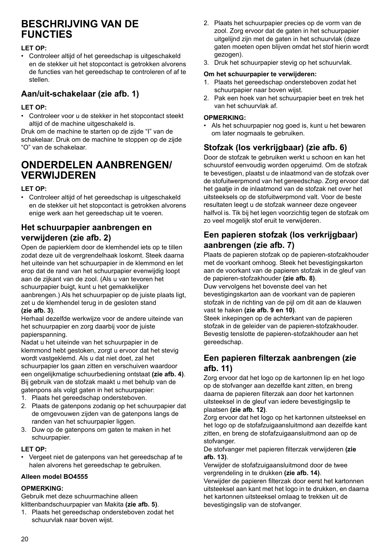# **BESCHRIJVING VAN DE FUNCTIES**

#### **LET OP:**

• Controleer altijd of het gereedschap is uitgeschakeld en de stekker uit het stopcontact is getrokken alvorens de functies van het gereedschap te controleren of af te stellen.

### **Aan/uit-schakelaar (zie afb. 1)**

#### **LET OP:**

• Controleer voor u de stekker in het stopcontact steekt altijd of de machine uitgeschakeld is.

Druk om de machine te starten op de zijde "I" van de schakelaar. Druk om de machine te stoppen op de zijde "O" van de schakelaar.

# **ONDERDELEN AANBRENGEN/ VERWIJDEREN**

#### **LET OP:**

• Controleer altijd of het gereedschap is uitgeschakeld en de stekker uit het stopcontact is getrokken alvorens enige werk aan het gereedschap uit te voeren.

### **Het schuurpapier aanbrengen en verwijderen (zie afb. 2)**

Open de papierklem door de klemhendel iets op te tillen zodat deze uit de vergrendelhaak loskomt. Steek daarna het uiteinde van het schuurpapier in de klemmond en let erop dat de rand van het schuurpapier evenwijdig loopt aan de zijkant van de zool. (Als u van tevoren het schuurpapier buigt, kunt u het gemakkelijker aanbrengen.) Als het schuurpapier op de juiste plaats ligt, zet u de klemhendel terug in de gesloten stand **(zie afb. 3)**.

Herhaal dezelfde werkwijze voor de andere uiteinde van het schuurpapier en zorg daarbij voor de juiste papierspanning.

Nadat u het uiteinde van het schuurpapier in de klemmond hebt gestoken, zorgt u ervoor dat het stevig wordt vastgeklemd. Als u dat niet doet, zal het schuurpapier los gaan zitten en verschuiven waardoor een ongelijkmatige schuurbediening ontstaat **(zie afb. 4)**. Bij gebruik van de stofzak maakt u met behulp van de gatenpons als volgt gaten in het schuurpapier:

- 1. Plaats het gereedschap ondersteboven.
- 2. Plaats de gatenpons zodanig op het schuurpapier dat de omgevouwen zijden van de gatenpons langs de randen van het schuurpapier liggen.
- 3. Duw op de gatenpons om gaten te maken in het schuurpapier.

#### **LET OP:**

• Vergeet niet de gatenpons van het gereedschap af te halen alvorens het gereedschap te gebruiken.

#### **Alleen model BO4555**

#### **OPMERKING:**

Gebruik met deze schuurmachine alleen klittenbandschuurpapier van Makita **(zie afb. 5)**.

1. Plaats het gereedschap ondersteboven zodat het schuurvlak naar boven wijst.

- 2. Plaats het schuurpapier precies op de vorm van de zool. Zorg ervoor dat de gaten in het schuurpapier uitgelijnd zijn met de gaten in het schuurvlak (deze gaten moeten open blijven omdat het stof hierin wordt gezogen).
- 3. Druk het schuurpapier stevig op het schuurvlak.

### **Om het schuurpapier te verwijderen:**

- 1. Plaats het gereedschap ondersteboven zodat het schuurpapier naar boven wijst.
- 2. Pak een hoek van het schuurpapier beet en trek het van het schuurvlak af.

#### **OPMERKING:**

• Als het schuurpapier nog goed is, kunt u het bewaren om later nogmaals te gebruiken.

## **Stofzak (los verkrijgbaar) (zie afb. 6)**

Door de stofzak te gebruiken werkt u schoon en kan het schuurstof eenvoudig worden opgeruimd. Om de stofzak te bevestigen, plaatst u de inlaatmond van de stofzak over de stofuitwerpmond van het gereedschap. Zorg ervoor dat het gaatje in de inlaatmond van de stofzak net over het uitsteeksels op de stofuitwerpmond valt. Voor de beste resultaten leegt u de stofzak wanneer deze ongeveer halfvol is. Tik bij het legen voorzichtig tegen de stofzak om zo veel mogelijk stof eruit te verwijderen.

### **Een papieren stofzak (los verkrijgbaar) aanbrengen (zie afb. 7)**

Plaats de papieren stofzak op de papieren-stofzakhouder met de voorkant omhoog. Steek het bevestigingskarton aan de voorkant van de papieren stofzak in de gleuf van de papieren-stofzakhouder **(zie afb. 8)**.

Duw vervolgens het bovenste deel van het bevestigingskarton aan de voorkant van de papieren stofzak in de richting van de pijl om dit aan de klauwen vast te haken **(zie afb. 9 en 10)**.

Steek inkepingen op de achterkant van de papieren stofzak in de geleider van de papieren-stofzakhouder. Bevestig tenslotte de papieren-stofzakhouder aan het gereedschap.

### **Een papieren filterzak aanbrengen (zie afb. 11)**

Zorg ervoor dat het logo op de kartonnen lip en het logo op de stofvanger aan dezelfde kant zitten, en breng daarna de papieren filterzak aan door het kartonnen uitsteeksel in de gleuf van iedere bevestigingslip te plaatsen **(zie afb. 12)**.

Zorg ervoor dat het logo op het kartonnen uitsteeksel en het logo op de stofafzuigaansluitmond aan dezelfde kant zitten, en breng de stofafzuigaansluitmond aan op de stofvanger.

De stofvanger met papieren filterzak verwijderen **(zie afb. 13)**.

Verwijder de stofafzuigaansluitmond door de twee vergrendeling in te drukken **(zie afb. 14)**.

Verwijder de papieren filterzak door eerst het kartonnen uitsteeksel aan kant met het logo in te drukken, en daarna het kartonnen uitsteeksel omlaag te trekken uit de bevestigingslip van de stofvanger.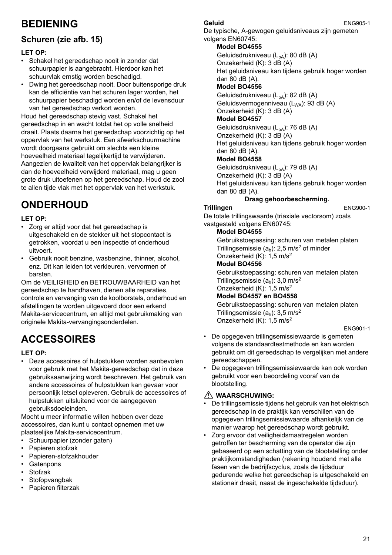# **BEDIENING**

# **Schuren (zie afb. 15)**

#### **LET OP:**

- Schakel het gereedschap nooit in zonder dat schuurpapier is aangebracht. Hierdoor kan het schuurvlak ernstig worden beschadigd.
- Dwing het gereedschap nooit. Door buitensporige druk kan de efficiëntie van het schuren lager worden, het schuurpapier beschadigd worden en/of de levensduur van het gereedschap verkort worden.

Houd het gereedschap stevig vast. Schakel het gereedschap in en wacht totdat het op volle snelheid draait. Plaats daarna het gereedschap voorzichtig op het oppervlak van het werkstuk. Een afwerkschuurmachine wordt doorgaans gebruikt om slechts een kleine hoeveelheid materiaal tegelijkertijd te verwijderen. Aangezien de kwaliteit van het oppervlak belangrijker is dan de hoeveelheid verwijderd materiaal, mag u geen grote druk uitoefenen op het gereedschap. Houd de zool te allen tijde vlak met het oppervlak van het werkstuk.

# **ONDERHOUD**

#### **LET OP:**

- Zorg er altijd voor dat het gereedschap is uitgeschakeld en de stekker uit het stopcontact is getrokken, voordat u een inspectie of onderhoud uitvoert.
- Gebruik nooit benzine, wasbenzine, thinner, alcohol, enz. Dit kan leiden tot verkleuren, vervormen of barsten.

Om de VEILIGHEID en BETROUWBAARHEID van het gereedschap te handhaven, dienen alle reparaties, controle en vervanging van de koolborstels, onderhoud en afstellingen te worden uitgevoerd door een erkend Makita-servicecentrum, en altijd met gebruikmaking van originele Makita-vervangingsonderdelen.

# **ACCESSOIRES**

#### **LET OP:**

• Deze accessoires of hulpstukken worden aanbevolen voor gebruik met het Makita-gereedschap dat in deze gebruiksaanwijzing wordt beschreven. Het gebruik van andere accessoires of hulpstukken kan gevaar voor persoonlijk letsel opleveren. Gebruik de accessoires of hulpstukken uitsluitend voor de aangegeven gebruiksdoeleinden.

Mocht u meer informatie willen hebben over deze accessoires, dan kunt u contact opnemen met uw plaatselijke Makita-servicecentrum.

- Schuurpapier (zonder gaten)
- Papieren stofzak
- Papieren-stofzakhouder
- **Gatenpons**
- Stofzak
- **Stofopvangbak**
- Papieren filterzak

#### **Geluid** ENG905-1

De typische, A-gewogen geluidsniveaus zijn gemeten volgens EN60745:

#### **Model BO4555**

Geluidsdrukniveau (L<sub>pA</sub>): 80 dB (A) Onzekerheid (K): 3 dB (A) Het geluidsniveau kan tijdens gebruik hoger worden  $(A)$  dan  $\overline{B}$  0.4R $(A)$ **Model BO4556** Geluidsdrukniveau  $(L_{pA})$ : 82 dB (A)

Geluidsvermogenniveau (L<sub>WA</sub>): 93 dB (A) Onzekerheid (K): 3 dB (A)

#### **Model BO4557**

Geluidsdrukniveau  $(L_{pA})$ : 76 dB (A) Onzekerheid (K): 3 dB (A) Het geluidsniveau kan tijdens gebruik hoger worden dan 80 dB (A).

#### **Model BO4558**

Geluidsdrukniveau  $(L_{pA})$ : 79 dB  $(A)$ Onzekerheid (K): 3 dB (A) Het geluidsniveau kan tijdens gebruik hoger worden dan 80 dB (A).

### **Draag gehoorbescherming.**

#### **Trillingen** ENG900-1 De totale trillingswaarde (triaxiale vectorsom) zoals vastgesteld volgens EN60745:

#### **Model BO4555**

Gebruikstoepassing: schuren van metalen platen Trillingsemissie  $(a_h)$ : 2,5 m/s<sup>2</sup> of minder Onzekerheid (K): 1,5 m/s2 **Model BO4556** Gebruikstoepassing: schuren van metalen platen

Trillingsemissie  $(a<sub>b</sub>)$ : 3,0 m/s<sup>2</sup> Onzekerheid (K): 1,5 m/s2

#### **Model BO4557 en BO4558**

Gebruikstoepassing: schuren van metalen platen Trillingsemissie  $(a<sub>b</sub>)$ : 3,5 m/s<sup>2</sup> Onzekerheid (K): 1,5 m/s2

#### ENG901-1

- De opgegeven trillingsemissiewaarde is gemeten volgens de standaardtestmethode en kan worden gebruikt om dit gereedschap te vergelijken met andere gereedschappen.
- De opgegeven trillingsemissiewaarde kan ook worden gebruikt voor een beoordeling vooraf van de blootstelling.

#### **WAARSCHUWING:**

- De trillingsemissie tijdens het gebruik van het elektrisch gereedschap in de praktijk kan verschillen van de opgegeven trillingsemissiewaarde afhankelijk van de manier waarop het gereedschap wordt gebruikt.
- Zorg ervoor dat veiligheidsmaatregelen worden getroffen ter bescherming van de operator die zijn gebaseerd op een schatting van de blootstelling onder praktijkomstandigheden (rekening houdend met alle fasen van de bedrijfscyclus, zoals de tijdsduur gedurende welke het gereedschap is uitgeschakeld en stationair draait, naast de ingeschakelde tijdsduur).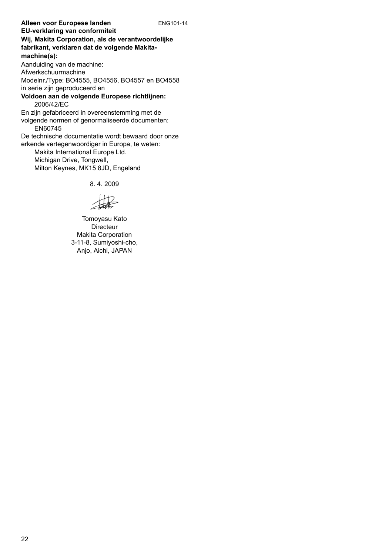**Alleen voor Europese landen** ENG101-14 **EU-verklaring van conformiteit Wij, Makita Corporation, als de verantwoordelijke fabrikant, verklaren dat de volgende Makitamachine(s):** Aanduiding van de machine: Afwerkschuurmachine Modelnr./Type: BO4555, BO4556, BO4557 en BO4558 in serie zijn geproduceerd en **Voldoen aan de volgende Europese richtlijnen:** 2006/42/EC En zijn gefabriceerd in overeenstemming met de volgende normen of genormaliseerde documenten: EN60745 De technische documentatie wordt bewaard door onze erkende vertegenwoordiger in Europa, te weten: Makita International Europe Ltd. Michigan Drive, Tongwell, Milton Keynes, MK15 8JD, Engeland

8. 4. 2009

撮

Tomoyasu Kato **Directeur** Makita Corporation 3-11-8, Sumiyoshi-cho, Anjo, Aichi, JAPAN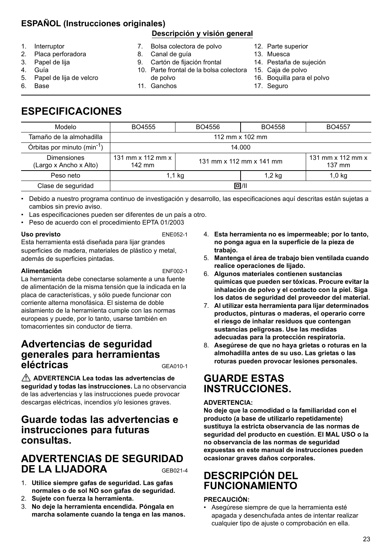# **ESPAÑOL (Instrucciones originales)**

### **Descripción y visión general**

- 1. Interruptor
- 2. Placa perforadora
- 3. Papel de lija
- 4. Guía
- 5. Papel de lija de velcro
- 6. Base
- 7. Bolsa colectora de polvo
- 8. Canal de guía
- 9. Cartón de fijación frontal
- 10. Parte frontal de la bolsa colectora de polvo 11. Ganchos
- 12. Parte superior
- 13. Muesca
- 14. Pestaña de sujeción
- 15. Caja de polvo
- 16. Boquilla para el polvo
- 17. Seguro

# **ESPECIFICACIONES**

| Modelo                                       | BO4555                                    | BO4556 | BO4558                   | BO4557                                    |
|----------------------------------------------|-------------------------------------------|--------|--------------------------|-------------------------------------------|
| Tamaño de la almohadilla                     | 112 mm x 102 mm                           |        |                          |                                           |
| Órbitas por minuto (min <sup>-1</sup> )      | 14.000                                    |        |                          |                                           |
| <b>Dimensiones</b><br>(Largo x Ancho x Alto) | 131 mm $\times$ 112 mm $\times$<br>142 mm |        | 131 mm x 112 mm x 141 mm | 131 mm $\times$ 112 mm $\times$<br>137 mm |
| Peso neto                                    | 1,1 kg                                    |        | 1,2 kg                   | $1,0$ kg                                  |
| Clase de seguridad                           | 回/川                                       |        |                          |                                           |
|                                              |                                           |        |                          |                                           |

• Debido a nuestro programa continuo de investigación y desarrollo, las especificaciones aquí descritas están sujetas a cambios sin previo aviso.

- Las especificaciones pueden ser diferentes de un país a otro.
- Peso de acuerdo con el procedimiento EPTA 01/2003

#### Uso previsto **ENE052-1**

Esta herramienta está diseñada para lijar grandes superficies de madera, materiales de plástico y metal, además de superficies pintadas.

#### **Alimentación** ENF002-1

La herramienta debe conectarse solamente a una fuente de alimentación de la misma tensión que la indicada en la placa de características, y sólo puede funcionar con corriente alterna monofásica. El sistema de doble aislamiento de la herramienta cumple con las normas europeas y puede, por lo tanto, usarse también en tomacorrientes sin conductor de tierra.

# **Advertencias de seguridad generales para herramientas eléctricas** GEA010-1

 **ADVERTENCIA Lea todas las advertencias de seguridad y todas las instrucciones.** La no observancia de las advertencias y las instrucciones puede provocar descargas eléctricas, incendios y/o lesiones graves.

# **Guarde todas las advertencias e instrucciones para futuras consultas.**

# **ADVERTENCIAS DE SEGURIDAD DE LA LIJADORA** GEB021-4

- 1. **Utilice siempre gafas de seguridad. Las gafas normales o de sol NO son gafas de seguridad.**
- 2. **Sujete con fuerza la herramienta.**
- 3. **No deje la herramienta encendida. Póngala en marcha solamente cuando la tenga en las manos.**
- 4. **Esta herramienta no es impermeable; por lo tanto, no ponga agua en la superficie de la pieza de trabajo.**
- 5. **Mantenga el área de trabajo bien ventilada cuando realice operaciones de lijado.**
- 6. **Algunos materiales contienen sustancias químicas que pueden ser tóxicas. Procure evitar la inhalación de polvo y el contacto con la piel. Siga los datos de seguridad del proveedor del material.**
- 7. **Al utilizar esta herramienta para lijar determinados productos, pinturas o maderas, el operario corre el riesgo de inhalar residuos que contengan sustancias peligrosas. Use las medidas adecuadas para la protección respiratoria.**
- 8. **Asegúrese de que no haya grietas o roturas en la almohadilla antes de su uso. Las grietas o las roturas pueden provocar lesiones personales.**

# **GUARDE ESTAS INSTRUCCIONES.**

#### **ADVERTENCIA:**

**No deje que la comodidad o la familiaridad con el producto (a base de utilizarlo repetidamente) sustituya la estricta observancia de las normas de seguridad del producto en cuestión. El MAL USO o la no observancia de las normas de seguridad expuestas en este manual de instrucciones pueden ocasionar graves daños corporales.** 

# **DESCRIPCIÓN DEL FUNCIONAMIENTO**

#### **PRECAUCIÓN:**

• Asegúrese siempre de que la herramienta esté apagada y desenchufada antes de intentar realizar cualquier tipo de ajuste o comprobación en ella.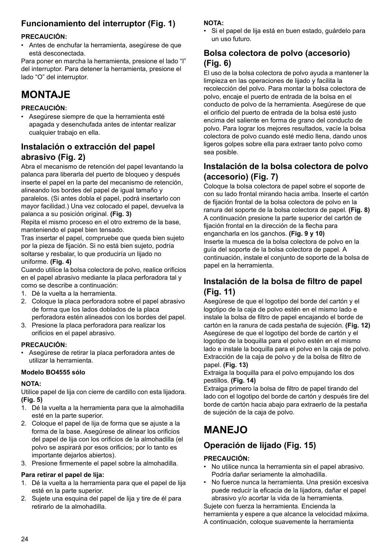# **Funcionamiento del interruptor (Fig. 1)**

#### **PRECAUCIÓN:**

• Antes de enchufar la herramienta, asegúrese de que está desconectada.

Para poner en marcha la herramienta, presione el lado "I" del interruptor. Para detener la herramienta, presione el lado "O" del interruptor.

# **MONTA<sub>JE</sub>**

#### **PRECAUCIÓN:**

• Asegúrese siempre de que la herramienta esté apagada y desenchufada antes de intentar realizar cualquier trabajo en ella.

### **Instalación o extracción del papel abrasivo (Fig. 2)**

Abra el mecanismo de retención del papel levantando la palanca para liberarla del puerto de bloqueo y después inserte el papel en la parte del mecanismo de retención, alineando los bordes del papel de igual tamaño y paralelos. (Si antes dobla el papel, podrá insertarlo con mayor facilidad.) Una vez colocado el papel, devuelva la palanca a su posición original. **(Fig. 3)**

Repita el mismo proceso en el otro extremo de la base, manteniendo el papel bien tensado.

Tras insertar el papel, compruebe que queda bien sujeto por la pieza de fijación. Si no está bien sujeto, podría soltarse y resbalar, lo que produciría un lijado no uniforme. **(Fig. 4)**

Cuando utilice la bolsa colectora de polvo, realice orificios en el papel abrasivo mediante la placa perforadora tal y como se describe a continuación:

- 1. Dé la vuelta a la herramienta.
- 2. Coloque la placa perforadora sobre el papel abrasivo de forma que los lados doblados de la placa perforadora estén alineados con los bordes del papel.
- 3. Presione la placa perforadora para realizar los orificios en el papel abrasivo.

#### **PRECAUCIÓN:**

• Asegúrese de retirar la placa perforadora antes de utilizar la herramienta.

#### **Modelo BO4555 sólo**

#### **NOTA:**

Utilice papel de lija con cierre de cardillo con esta lijadora. **(Fig. 5)**

- 1. Dé la vuelta a la herramienta para que la almohadilla esté en la parte superior.
- 2. Coloque el papel de lija de forma que se ajuste a la forma de la base. Asegúrese de alinear los orificios del papel de lija con los orificios de la almohadilla (el polvo se aspirará por esos orificios; por lo tanto es importante dejarlos abiertos).
- 3. Presione firmemente el papel sobre la almohadilla.

#### **Para retirar el papel de lija:**

- 1. Dé la vuelta a la herramienta para que el papel de lija esté en la parte superior.
- 2. Sujete una esquina del papel de lija y tire de él para retirarlo de la almohadilla.

#### **NOTA:**

• Si el papel de lija está en buen estado, guárdelo para un uso futuro.

### **Bolsa colectora de polvo (accesorio) (Fig. 6)**

El uso de la bolsa colectora de polvo ayuda a mantener la limpieza en las operaciones de lijado y facilita la recolección del polvo. Para montar la bolsa colectora de polvo, encaje el puerto de entrada de la bolsa en el conducto de polvo de la herramienta. Asegúrese de que el orificio del puerto de entrada de la bolsa esté justo encima del saliente en forma de grano del conducto de polvo. Para lograr los mejores resultados, vacíe la bolsa colectora de polvo cuando esté medio llena, dando unos ligeros golpes sobre ella para extraer tanto polvo como sea posible.

### **Instalación de la bolsa colectora de polvo (accesorio) (Fig. 7)**

Coloque la bolsa colectora de papel sobre el soporte de con su lado frontal mirando hacia arriba. Inserte el cartón de fijación frontal de la bolsa colectora de polvo en la ranura del soporte de la bolsa colectora de papel. **(Fig. 8)** A continuación presione la parte superior del cartón de fijación frontal en la dirección de la flecha para engancharla en los ganchos. **(Fig. 9 y 10)** Inserte la muesca de la bolsa colectora de polvo en la guía del soporte de la bolsa colectora de papel. A continuación, instale el conjunto de soporte de la bolsa de papel en la herramienta.

### **Instalación de la bolsa de filtro de papel (Fig. 11)**

Asegúrese de que el logotipo del borde del cartón y el logotipo de la caja de polvo estén en el mismo lado e instale la bolsa de filtro de papel encajando el borde de cartón en la ranura de cada pestaña de sujeción. **(Fig. 12)** Asegúrese de que el logotipo del borde de cartón y el logotipo de la boquilla para el polvo estén en el mismo lado e instale la boquilla para el polvo en la caja de polvo. Extracción de la caja de polvo y de la bolsa de filtro de papel. **(Fig. 13)**

Extraiga la boquilla para el polvo empujando los dos pestillos. **(Fig. 14)**

Extraiga primero la bolsa de filtro de papel tirando del lado con el logotipo del borde de cartón y después tire del borde de cartón hacia abajo para extraerlo de la pestaña de sujeción de la caja de polvo.

# **MANEJO**

# **Operación de lijado (Fig. 15)**

#### **PRECAUCIÓN:**

- No utilice nunca la herramienta sin el papel abrasivo. Podría dañar seriamente la almohadilla.
- No fuerce nunca la herramienta. Una presión excesiva puede reducir la eficacia de la lijadora, dañar el papel abrasivo y/o acortar la vida de la herramienta.

Sujete con fuerza la herramienta. Encienda la herramienta y espere a que alcance la velocidad máxima. A continuación, coloque suavemente la herramienta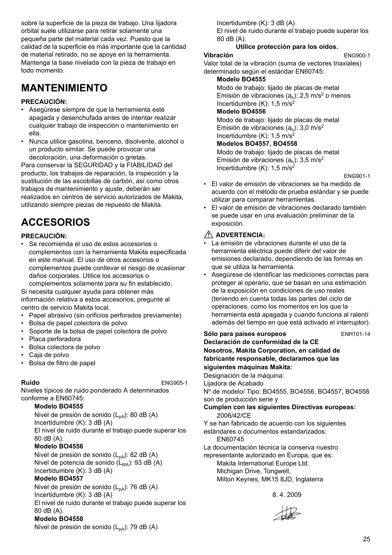sobre la superficie de la pieza de trabajo. Una lijadora orbital suele utilizarse para retirar solamente una pequeña parte del material cada vez. Puesto que la calidad de la superficie es más importante que la cantidad de material retirado, no se apoye en la herramienta. Mantenga la base nivelada con la pieza de trabajo en todo momento.

# **MANTENIMIENTO**

#### **PRECAUCIÓN:**

- Asegúrese siempre de que la herramienta esté apagada y desenchufada antes de intentar realizar cualquier trabajo de inspección o mantenimiento en ella.
- Nunca utilice gasolina, benceno, disolvente, alcohol o un producto similar. Se puede provocar una decoloración, una deformación o grietas.

Para conservar la SEGURIDAD y la FIABILIDAD del producto, los trabajos de reparación, la inspección y la sustitución de las escobillas de carbón, así como otros trabajos de mantenimiento y ajuste, deberán ser realizados en centros de servicio autorizados de Makita, utilizando siempre piezas de repuesto de Makita.

# **ACCESORIOS**

#### **PRECAUCIÓN:**

• Se recomienda el uso de estos accesorios o complementos con la herramienta Makita especificada en este manual. El uso de otros accesorios o complementos puede conllevar el riesgo de ocasionar daños corporales. Utilice los accesorios o

complementos solamente para su fin establecido. Si necesita cualquier ayuda para obtener más información relativa a estos accesorios, pregunte al

- centro de servicio Makita local. • Papel abrasivo (sin orificios perforados previamente)
- Bolsa de papel colectora de polvo
- Soporte de la bolsa de papel colectora de polvo
- Placa perforadora
- Bolsa colectora de polvo
- Caja de polvo
- Bolsa de filtro de papel

**Ruido** ENG905-1

Niveles típicos de ruido ponderado A determinados conforme a EN60745:

#### **Modelo BO4555**

Nivel de presión de sonido  $(L_{pA})$ : 80 dB (A) Incertidumbre (K): 3 dB (A) El nivel de ruido durante el trabajo puede superar los 80 dB (A).

#### **Modelo BO4556**

Nivel de presión de sonido (L<sub>pA</sub>): 82 dB (A) Nivel de potencia de sonido  $(L_{WA})$ : 93 dB (A) Incertidumbre (K): 3 dB (A)

#### **Modelo BO4557**

Nivel de presión de sonido (L<sub>pA</sub>): 76 dB (A)

Incertidumbre (K): 3 dB (A) El nivel de ruido durante el trabajo puede superar los 80 dB (A).

#### **Modelo BO4558**

Nivel de presión de sonido  $(L_{pA})$ : 79 dB  $(A)$ 

Incertidumbre (K): 3 dB (A)

El nivel de ruido durante el trabajo puede superar los 80 dB (A).

#### **Utilice protección para los oídos. Vibración** ENG900-1

Valor total de la vibración (suma de vectores triaxiales) determinado según el estándar EN60745:

#### **Modelo BO4555**

Modo de trabajo: lijado de placas de metal Emisión de vibraciones  $(a<sub>b</sub>)$ : 2,5 m/s<sup>2</sup> o menos Incertidumbre  $(K)$ : 1.5 m/s<sup>2</sup>

### **Modelo BO4556**

Modo de trabajo: lijado de placas de metal Emisión de vibraciones  $(a<sub>b</sub>)$ : 3,0 m/s<sup>2</sup> Incertidumbre  $(K)$ : 1,5 m/s<sup>2</sup>

#### **Modelos BO4557, BO4558**

Modo de trabajo: lijado de placas de metal Emisión de vibraciones  $(a<sub>b</sub>)$ : 3,5 m/s<sup>2</sup> Incertidumbre  $(K)$ : 1.5 m/s<sup>2</sup>

ENG901-1

- El valor de emisión de vibraciones se ha medido de acuerdo con el método de prueba estándar y se puede utilizar para comparar herramientas.
- El valor de emisión de vibraciones declarado también se puede usar en una evaluación preliminar de la exposición.

#### **ADVERTENCIA:**

- La emisión de vibraciones durante el uso de la herramienta eléctrica puede diferir del valor de emisiones declarado, dependiendo de las formas en que se utiliza la herramienta.
- Asegúrese de identificar las mediciones correctas para proteger al operario, que se basan en una estimación de la exposición en condiciones de uso reales (teniendo en cuenta todas las partes del ciclo de operaciones, como los momentos en los que la herramienta está apagada y cuando funciona al ralentí además del tiempo en que está activado el interruptor).

Sólo para países europeos<br>
ENH101-14 **Declaración de conformidad de la CE Nosotros, Makita Corporation, en calidad de fabricante responsable, declaramos que las siguientes máquinas Makita:** Designación de la máquina: Lijadora de Acabado Nº de modelo/ Tipo: BO4555, BO4556, BO4557, BO4558 son de producción serie y **Cumplen con las siguientes Directivas europeas:** 2006/42/CE Y se han fabricado de acuerdo con los siguientes estándares o documentos estandarizados: EN60745 La documentación técnica la conserva nuestro representante autorizado en Europa, que es: Makita International Europe Ltd.

Michigan Drive, Tongwell, Milton Keynes, MK15 8JD, Inglaterra

8. 4. 2009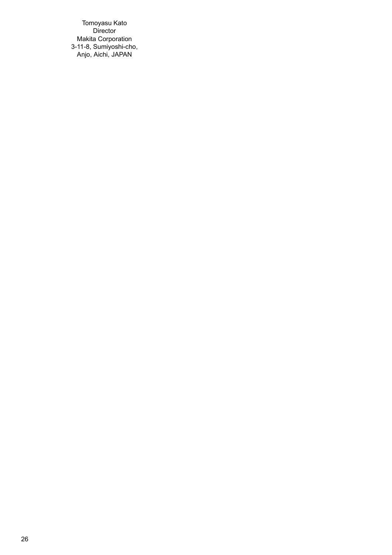Tomoyasu Kato Director Makita Corporation 3-11-8, Sumiyoshi-cho, Anjo, Aichi, JAPAN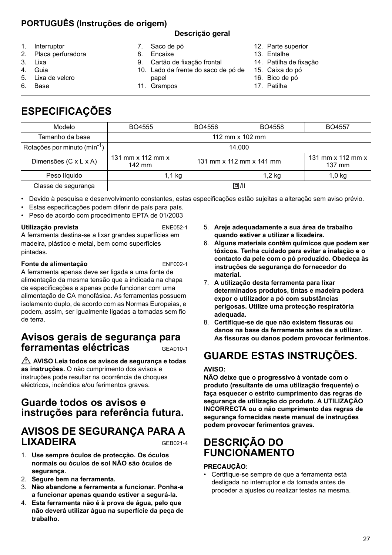# **PORTUGUÊS (Instruções de origem)**

#### **Descrição geral**

- 1. Interruptor
- 2. Placa perfuradora
- 3. Lixa
- 4. Guia
- 5. Lixa de velcro
- 6. Base

8. Encaixe

7. Saco de pó

- 9. Cartão de fixação frontal
- 10. Lado da frente do saco de pó de
- 14. Patilha de fixação
	- 15. Caixa do pó 16. Bico de pó

12. Parte superior 13. Entalhe

- 17. Patilha
- 

# **ESPECIFICAÇÕES**

| Modelo                                   | BO4555                                    | BO4556                   | BO4558   | BO4557                      |
|------------------------------------------|-------------------------------------------|--------------------------|----------|-----------------------------|
| Tamanho da base                          | 112 mm x 102 mm                           |                          |          |                             |
| Rotações por minuto (mín <sup>-1</sup> ) | 14.000                                    |                          |          |                             |
| Dimensões (C x L x A)                    | 131 mm $\times$ 112 mm $\times$<br>142 mm | 131 mm x 112 mm x 141 mm |          | 131 mm x 112 mm x<br>137 mm |
| Peso líquido                             | 1,1 kg                                    |                          | $1,2$ kg | $1,0$ kg                    |
| Classe de segurança                      | 回/11                                      |                          |          |                             |

• Devido à pesquisa e desenvolvimento constantes, estas especificações estão sujeitas a alteração sem aviso prévio.

- Estas especificações podem diferir de país para país.
- Peso de acordo com procedimento EPTA de 01/2003

#### **Utilização prevista** ENE052-1

A ferramenta destina-se a lixar grandes superfícies em madeira, plástico e metal, bem como superfícies pintadas.

#### **Fonte de alimentação** ENF002-1

A ferramenta apenas deve ser ligada a uma fonte de alimentação da mesma tensão que a indicada na chapa de especificações e apenas pode funcionar com uma alimentação de CA monofásica. As ferramentas possuem isolamento duplo, de acordo com as Normas Europeias, e podem, assim, ser igualmente ligadas a tomadas sem fio de terra.

# **Avisos gerais de segurança para ferramentas eléctricas** GEA010-1

 **AVISO Leia todos os avisos de segurança e todas as instruções.** O não cumprimento dos avisos e instruções pode resultar na ocorrência de choques eléctricos, incêndios e/ou ferimentos graves.

# **Guarde todos os avisos e instruções para referência futura.**

# **AVISOS DE SEGURANÇA PARA A LIXADEIRA** GEB021-4

- 1. **Use sempre óculos de protecção. Os óculos normais ou óculos de sol NÃO são óculos de segurança.**
- 2. **Segure bem na ferramenta.**
- 3. **Não abandone a ferramenta a funcionar. Ponha-a a funcionar apenas quando estiver a segurá-la.**
- 4. **Esta ferramenta não é à prova de água, pelo que não deverá utilizar água na superfície da peça de trabalho.**
- 5. **Areje adequadamente a sua área de trabalho quando estiver a utilizar a lixadeira.**
- 6. **Alguns materiais contêm químicos que podem ser tóxicos. Tenha cuidado para evitar a inalação e o contacto da pele com o pó produzido. Obedeça às instruções de segurança do fornecedor do material.**
- 7. **A utilização desta ferramenta para lixar determinados produtos, tintas e madeira poderá expor o utilizador a pó com substâncias perigosas. Utilize uma protecção respiratória adequada.**
- 8. **Certifique-se de que não existem fissuras ou danos na base da ferramenta antes de a utilizar. As fissuras ou danos podem provocar ferimentos.**

# **GUARDE ESTAS INSTRUÇÕES.**

#### **AVISO:**

**NÃO deixe que o progressivo à vontade com o produto (resultante de uma utilização frequente) o faça esquecer o estrito cumprimento das regras de segurança de utilização do produto. A UTILIZAÇÃO INCORRECTA ou o não cumprimento das regras de segurança fornecidas neste manual de instruções podem provocar ferimentos graves.**

# **DESCRIÇÃO DO FUNCIONAMENTO**

#### **PRECAUÇÃO:**

• Certifique-se sempre de que a ferramenta está desligada no interruptor e da tomada antes de proceder a ajustes ou realizar testes na mesma.

- 
- papel 11. Grampos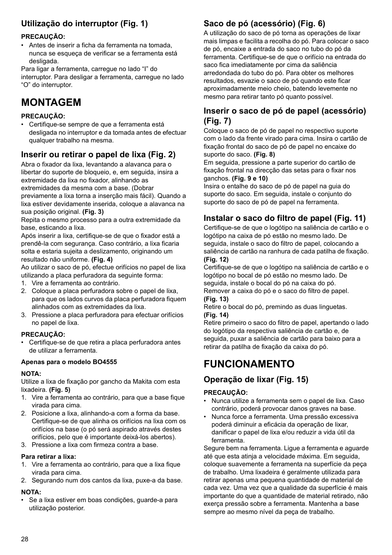# **Utilização do interruptor (Fig. 1)**

#### **PRECAUÇÃO:**

• Antes de inserir a ficha da ferramenta na tomada, nunca se esqueça de verificar se a ferramenta está desligada.

Para ligar a ferramenta, carregue no lado "I" do interruptor. Para desligar a ferramenta, carregue no lado "O" do interruptor.

# **MONTAGEM**

#### **PRECAUÇÃO:**

• Certifique-se sempre de que a ferramenta está desligada no interruptor e da tomada antes de efectuar qualquer trabalho na mesma.

### **Inserir ou retirar o papel de lixa (Fig. 2)**

Abra o fixador da lixa, levantando a alavanca para o libertar do suporte de bloqueio, e, em seguida, insira a extremidade da lixa no fixador, alinhando as extremidades da mesma com a base. (Dobrar previamente a lixa torna a inserção mais fácil). Quando a

lixa estiver devidamente inserida, coloque a alavanca na sua posição original. **(Fig. 3)**

Repita o mesmo processo para a outra extremidade da base, esticando a lixa.

Após inserir a lixa, certifique-se de que o fixador está a prendê-la com segurança. Caso contrário, a lixa ficaria solta e estaria sujeita a deslizamento, originando um resultado não uniforme. **(Fig. 4)**

Ao utilizar o saco de pó, efectue orifícios no papel de lixa utilizando a placa perfuradora da seguinte forma:

- 1. Vire a ferramenta ao contrário.
- 2. Coloque a placa perfuradora sobre o papel de lixa, para que os lados curvos da placa perfuradora fiquem alinhados com as extremidades da lixa.
- 3. Pressione a placa perfuradora para efectuar orifícios no papel de lixa.

#### **PRECAUÇÃO:**

• Certifique-se de que retira a placa perfuradora antes de utilizar a ferramenta.

#### **Apenas para o modelo BO4555**

#### **NOTA:**

Utilize a lixa de fixação por gancho da Makita com esta lixadeira. **(Fig. 5)**

- 1. Vire a ferramenta ao contrário, para que a base fique virada para cima.
- 2. Posicione a lixa, alinhando-a com a forma da base. Certifique-se de que alinha os orifícios na lixa com os orifícios na base (o pó será aspirado através destes orifícios, pelo que é importante deixá-los abertos).
- 3. Pressione a lixa com firmeza contra a base.

#### **Para retirar a lixa:**

- 1. Vire a ferramenta ao contrário, para que a lixa fique virada para cima.
- 2. Segurando num dos cantos da lixa, puxe-a da base.

#### **NOTA:**

• Se a lixa estiver em boas condições, guarde-a para utilização posterior.

# **Saco de pó (acessório) (Fig. 6)**

A utilização do saco de pó torna as operações de lixar mais limpas e facilita a recolha do pó. Para colocar o saco de pó, encaixe a entrada do saco no tubo do pó da ferramenta. Certifique-se de que o orifício na entrada do saco fica imediatamente por cima da saliência arredondada do tubo do pó. Para obter os melhores resultados, esvazie o saco de pó quando este ficar aproximadamente meio cheio, batendo levemente no mesmo para retirar tanto pó quanto possível.

### **Inserir o saco de pó de papel (acessório) (Fig. 7)**

Coloque o saco de pó de papel no respectivo suporte com o lado da frente virado para cima. Insira o cartão de fixação frontal do saco de pó de papel no encaixe do suporte do saco. **(Fig. 8)**

Em seguida, pressione a parte superior do cartão de fixação frontal na direcção das setas para o fixar nos ganchos. **(Fig. 9 e 10)**

Insira o entalhe do saco de pó de papel na guia do suporte do saco. Em seguida, instale o conjunto do suporte do saco de pó de papel na ferramenta.

### **Instalar o saco do filtro de papel (Fig. 11)**

Certifique-se de que o logótipo na saliência de cartão e o logótipo na caixa de pó estão no mesmo lado. De seguida, instale o saco do filtro de papel, colocando a saliência de cartão na ranhura de cada patilha de fixação. **(Fig. 12)**

Certifique-se de que o logótipo na saliência de cartão e o logótipo no bocal de pó estão no mesmo lado. De seguida, instale o bocal do pó na caixa do pó.

Remover a caixa do pó e o saco do filtro de papel. **(Fig. 13)**

Retire o bocal do pó, premindo as duas linguetas. **(Fig. 14)**

Retire primeiro o saco do filtro de papel, apertando o lado do logótipo da respectiva saliência de cartão e, de seguida, puxar a saliência de cartão para baixo para a retirar da patilha de fixação da caixa do pó.

# **FUNCIONAMENTO**

### **Operação de lixar (Fig. 15)**

#### **PRECAUÇÃO:**

- Nunca utilize a ferramenta sem o papel de lixa. Caso contrário, poderá provocar danos graves na base.
- Nunca force a ferramenta. Uma pressão excessiva poderá diminuir a eficácia da operação de lixar, danificar o papel de lixa e/ou reduzir a vida útil da ferramenta.

Segure bem na ferramenta. Ligue a ferramenta e aguarde até que esta atinja a velocidade máxima. Em seguida, coloque suavemente a ferramenta na superfície da peça de trabalho. Uma lixadeira é geralmente utilizada para retirar apenas uma pequena quantidade de material de cada vez. Uma vez que a qualidade da superfície é mais importante do que a quantidade de material retirado, não exerça pressão sobre a ferramenta. Mantenha a base sempre ao mesmo nível da peça de trabalho.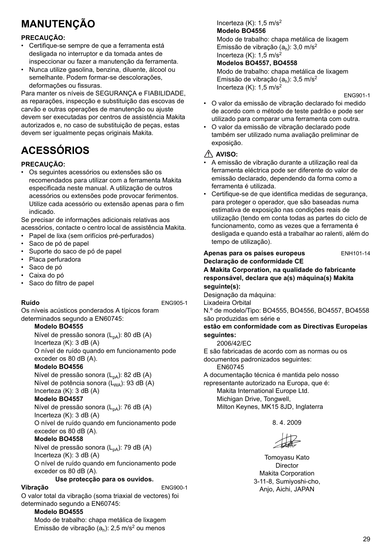# **MANUTENÇÃO**

### **PRECAUÇÃO:**

- Certifique-se sempre de que a ferramenta está desligada no interruptor e da tomada antes de inspeccionar ou fazer a manutenção da ferramenta.
- Nunca utilize gasolina, benzina, diluente, álcool ou semelhante. Podem formar-se descolorações, deformações ou fissuras.

Para manter os níveis de SEGURANÇA e FIABILIDADE, as reparações, inspecção e substituição das escovas de carvão e outras operações de manutenção ou ajuste devem ser executadas por centros de assistência Makita autorizados e, no caso de substituição de peças, estas devem ser igualmente peças originais Makita.

# **ACESSÓRIOS**

#### **PRECAUÇÃO:**

• Os seguintes acessórios ou extensões são os recomendados para utilizar com a ferramenta Makita especificada neste manual. A utilização de outros acessórios ou extensões pode provocar ferimentos. Utilize cada acessório ou extensão apenas para o fim indicado.

Se precisar de informações adicionais relativas aos acessórios, contacte o centro local de assistência Makita.

- Papel de lixa (sem orifícios pré-perfurados)
- Saco de pó de papel
- Suporte do saco de pó de papel
- Placa perfuradora
- Saco de pó
- Caixa do pó
- Saco do filtro de papel

**Ruído** ENG905-1

Os níveis acústicos ponderados A típicos foram determinados segundo a EN60745:

#### **Modelo BO4555**

Nível de pressão sonora (L<sub>pA</sub>): 80 dB (A) Incerteza (K): 3 dB (A) O nível de ruído quando em funcionamento pode exceder os 80 dB (A).

### **Modelo BO4556**

Nível de pressão sonora (L<sub>pA</sub>): 82 dB (A) Nível de potência sonora  $(L_{WA})$ : 93 dB (A) Incerteza (K): 3 dB (A)

#### **Modelo BO4557**

Nível de pressão sonora (L<sub>pA</sub>): 76 dB (A) Incerteza (K): 3 dB (A)

O nível de ruído quando em funcionamento pode exceder os 80 dB (A).

#### **Modelo BO4558**

Nível de pressão sonora (L<sub>pA</sub>): 79 dB (A) Incerteza (K): 3 dB (A) O nível de ruído quando em funcionamento pode exceder os 80 dB (A).

#### **Use protecção para os ouvidos.**

**Vibração** ENG900-1

O valor total da vibração (soma triaxial de vectores) foi determinado segundo a EN60745:

#### **Modelo BO4555**

Modo de trabalho: chapa metálica de lixagem Emissão de vibração  $(a_h)$ : 2,5 m/s<sup>2</sup> ou menos

#### Incerteza  $(K)$ : 1,5 m/s<sup>2</sup> **Modelo BO4556**

Modo de trabalho: chapa metálica de lixagem Emissão de vibração  $(a_h)$ : 3,0 m/s<sup>2</sup> Incerteza  $(K)$ : 1,5 m/s<sup>2</sup>

#### **Modelos BO4557, BO4558**

Modo de trabalho: chapa metálica de lixagem Emissão de vibração  $(a<sub>b</sub>)$ : 3,5 m/s<sup>2</sup> Incerteza (K):  $1.5 \text{ m/s}^2$ 

ENG901-1

- O valor da emissão de vibração declarado foi medido de acordo com o método de teste padrão e pode ser utilizado para comparar uma ferramenta com outra.
- O valor da emissão de vibração declarado pode também ser utilizado numa avaliação preliminar de exposição.

#### **AVISO:**

- A emissão de vibração durante a utilização real da ferramenta eléctrica pode ser diferente do valor de emissão declarado, dependendo da forma como a ferramenta é utilizada.
- Certifique-se de que identifica medidas de segurança, para proteger o operador, que são baseadas numa estimativa de exposição nas condições reais de utilização (tendo em conta todas as partes do ciclo de funcionamento, como as vezes que a ferramenta é desligada e quando está a trabalhar ao ralenti, além do tempo de utilização).

**Apenas para os países europeus** ENH101-14

#### **Declaração de conformidade CE A Makita Corporation, na qualidade do fabricante responsável, declara que a(s) máquina(s) Makita seguinte(s):**

Designação da máquina:

Lixadeira Orbital

N.º de modelo/Tipo: BO4555, BO4556, BO4557, BO4558 são produzidas em série e

#### **estão em conformidade com as Directivas Europeias seguintes:**

2006/42/EC

E são fabricadas de acordo com as normas ou os documentos padronizados seguintes:

EN60745

A documentação técnica é mantida pelo nosso representante autorizado na Europa, que é:

Makita International Europe Ltd. Michigan Drive, Tongwell, Milton Keynes, MK15 8JD, Inglaterra

8. 4. 2009

Tomoyasu Kato Director Makita Corporation 3-11-8, Sumiyoshi-cho, Anjo, Aichi, JAPAN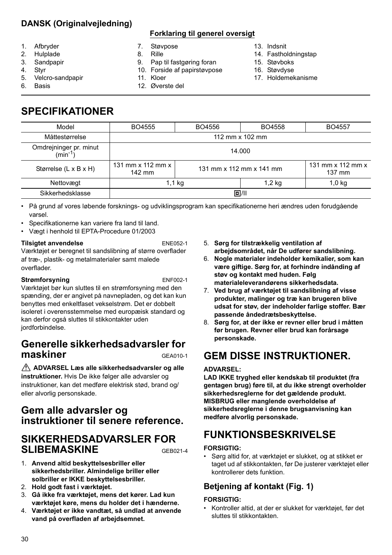# **DANSK (Originalvejledning)**

### **Forklaring til generel oversigt**

- 1. Afbryder
- 2. Hulplade
- 3. Sandpapir
- 4. Styr
- 5. Velcro-sandpapir
- 6. Basis
- 7. Støvpose
- 8. Rille
- 9. Pap til fastgøring foran
- 10. Forside af papirstøvpose
- 11. Kloer 12. Øverste del
- 13. Indsnit
- 14. Fastholdningstap
- 15. Støvboks
- 16. Støvdyse
- 17. Holdemekanisme

# **SPECIFIKATIONER**

| BO4555                                                  | BO4556          | BO4558 | <b>BO4557</b>               |  |
|---------------------------------------------------------|-----------------|--------|-----------------------------|--|
|                                                         | 112 mm x 102 mm |        |                             |  |
| 14.000                                                  |                 |        |                             |  |
| 131 mm x 112 mm x<br>131 mm x 112 mm x 141 mm<br>142 mm |                 |        | 131 mm x 112 mm x<br>137 mm |  |
| 1,1 kg<br>$1,2$ kg                                      |                 |        | $1,0$ kg                    |  |
| 回/11                                                    |                 |        |                             |  |
|                                                         |                 |        |                             |  |

• På grund af vores løbende forsknings- og udviklingsprogram kan specifikationerne heri ændres uden forudgående varsel.

- Specifikationerne kan variere fra land til land.
- Vægt i henhold til EPTA-Procedure 01/2003

#### **Tilsigtet anvendelse** ENE052-1 Værktøjet er beregnet til sandslibning af større overflader af træ-, plastik- og metalmaterialer samt malede overflader.

#### **Strømforsyning** ENF002-1

Værktøjet bør kun sluttes til en strømforsyning med den spænding, der er angivet på navnepladen, og det kan kun benyttes med enkeltfaset vekselstrøm. Det er dobbelt isoleret i overensstemmelse med europæisk standard og kan derfor også sluttes til stikkontakter uden jordforbindelse.

# **Generelle sikkerhedsadvarsler for maskiner** GEA010-1

 **ADVARSEL Læs alle sikkerhedsadvarsler og alle instruktioner.** Hvis De ikke følger alle advarsler og instruktioner, kan det medføre elektrisk stød, brand og/ eller alvorlig personskade.

# **Gem alle advarsler og instruktioner til senere reference.**

# **SIKKERHEDSADVARSLER FOR SLIBEMASKINE** GEB021-4

- 1. **Anvend altid beskyttelsesbriller eller sikkerhedsbriller. Almindelige briller eller solbriller er IKKE beskyttelsesbriller.**
- 2. **Hold godt fast i værktøjet.**
- 3. **Gå ikke fra værktøjet, mens det kører. Lad kun værktøjet køre, mens du holder det i hænderne.**
- 4. **Værktøjet er ikke vandtæt, så undlad at anvende vand på overfladen af arbejdsemnet.**
- 5. **Sørg for tilstrækkelig ventilation af arbejdsområdet, når De udfører sandslibning.**
- 6. **Nogle materialer indeholder kemikalier, som kan være giftige. Sørg for, at forhindre indånding af støv og kontakt med huden. Følg materialeleverandørens sikkerhedsdata.**
- 7. **Ved brug af værktøjet til sandslibning af visse produkter, malinger og træ kan brugeren blive udsat for støv, der indeholder farlige stoffer. Bær passende åndedrætsbeskyttelse.**
- 8. **Sørg for, at der ikke er revner eller brud i måtten før brugen. Revner eller brud kan forårsage personskade.**

# **GEM DISSE INSTRUKTIONER.**

#### **ADVARSEL:**

**LAD IKKE tryghed eller kendskab til produktet (fra gentagen brug) føre til, at du ikke strengt overholder sikkerhedsreglerne for det gældende produkt. MISBRUG eller manglende overholdelse af sikkerhedsreglerne i denne brugsanvisning kan medføre alvorlig personskade.**

# **FUNKTIONSBESKRIVELSE**

#### **FORSIGTIG:**

• Sørg altid for, at værktøjet er slukket, og at stikket er taget ud af stikkontakten, før De justerer værktøjet eller kontrollerer dets funktion.

### **Betjening af kontakt (Fig. 1)**

#### **FORSIGTIG:**

• Kontroller altid, at der er slukket for værktøjet, før det sluttes til stikkontakten.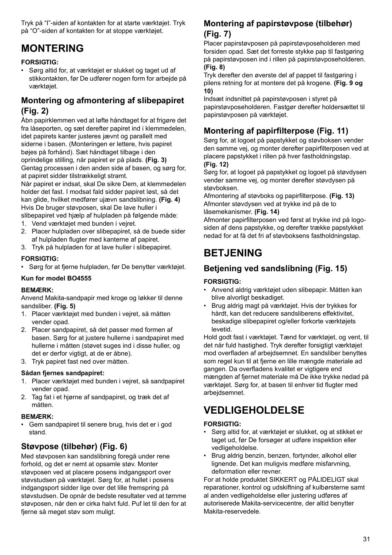Tryk på "I"-siden af kontakten for at starte værktøjet. Tryk på "O"-siden af kontakten for at stoppe værktøjet.

# **MONTERING**

#### **FORSIGTIG:**

• Sørg altid for, at værktøjet er slukket og taget ud af stikkontakten, før De udfører nogen form for arbejde på værktøjet.

### **Montering og afmontering af slibepapiret (Fig. 2)**

Åbn papirklemmen ved at løfte håndtaget for at frigøre det fra låseporten, og sæt derefter papiret ind i klemmedelen, idet papirets kanter justeres jævnt og parallelt med siderne i basen. (Monteringen er lettere, hvis papiret bøjes på forhånd). Sæt håndtaget tilbage i den oprindelige stilling, når papiret er på plads. **(Fig. 3)** Gentag processen i den anden side af basen, og sørg for, at papiret sidder tilstrækkeligt stramt.

Når papiret er indsat, skal De sikre Dem, at klemmedelen holder det fast. I modsat fald sidder papiret løst, så det kan glide, hvilket medfører ujævn sandslibning. **(Fig. 4)** Hvis De bruger støvposen, skal De lave huller i slibepapiret ved hjælp af hulpladen på følgende måde:

- 1. Vend værktøjet med bunden i vejret.
- 2. Placer hulpladen over slibepapiret, så de buede sider af hulpladen flugter med kanterne af papiret.
- 3. Tryk på hulpladen for at lave huller i slibepapiret.

#### **FORSIGTIG:**

• Sørg for at fjerne hulpladen, før De benytter værktøjet.

#### **Kun for model BO4555**

#### **BEMÆRK:**

Anvend Makita-sandpapir med kroge og løkker til denne sandsliber. **(Fig. 5)**

- 1. Placer værktøjet med bunden i vejret, så måtten vender opad.
- 2. Placer sandpapiret, så det passer med formen af basen. Sørg for at justere hullerne i sandpapiret med hullerne i måtten (støvet suges ind i disse huller, og det er derfor vigtigt, at de er åbne).
- 3. Tryk papiret fast ned over måtten.

#### **Sådan fjernes sandpapiret:**

- 1. Placer værktøjet med bunden i vejret, så sandpapiret vender opad.
- 2. Tag fat i et hjørne af sandpapiret, og træk det af måtten.

#### **BEMÆRK:**

• Gem sandpapiret til senere brug, hvis det er i god stand.

### **Støvpose (tilbehør) (Fig. 6)**

Med støvposen kan sandslibning foregå under rene forhold, og det er nemt at opsamle støv. Monter støvposen ved at placere posens indgangsport over støvstudsen på værktøjet. Sørg for, at hullet i posens indgangsport sidder lige over det lille fremspring på støvstudsen. De opnår de bedste resultater ved at tømme støvposen, når den er cirka halvt fuld. Puf let til den for at fjerne så meget støv som muligt.

### **Montering af papirstøvpose (tilbehør) (Fig. 7)**

Placer papirstøvposen på papirstøvposeholderen med forsiden opad. Sæt det forreste stykke pap til fastgøring på papirstøvposen ind i rillen på papirstøvposeholderen. **(Fig. 8)**

Tryk derefter den øverste del af pappet til fastgøring i pilens retning for at montere det på krogene. **(Fig. 9 og 10)**

Indsæt indsnittet på papirstøvposen i styret på papirstøvposeholderen. Fastgør derefter holdersættet til papirstøvposen på værktøjet.

### **Montering af papirfilterpose (Fig. 11)**

Sørg for, at logoet på papstykket og støvboksen vender den samme vej, og monter derefter papirfilterposen ved at placere papstykket i rillen på hver fastholdningstap. **(Fig. 12)**

Sørg for, at logoet på papstykket og logoet på støvdysen vender samme vej, og monter derefter støvdysen på støvboksen.

Afmontering af støvboks og papirfilterpose. **(Fig. 13)** Afmonter støvdysen ved at trykke ind på de to låsemekanismer. **(Fig. 14)**

Afmonter papirfilterposen ved først at trykke ind på logosiden af dens papstykke, og derefter trække papstykket nedad for at få det fri af støvboksens fastholdningstap.

# **BETJENING**

# **Betjening ved sandslibning (Fig. 15)**

#### **FORSIGTIG:**

- Anvend aldrig værktøjet uden slibepapir. Måtten kan blive alvorligt beskadiget.
- Brug aldrig magt på værktøjet. Hvis der trykkes for hårdt, kan det reducere sandsliberens effektivitet, beskadige slibepapiret og/eller forkorte værktøjets levetid.

Hold godt fast i værktøjet. Tænd for værktøjet, og vent, til det når fuld hastighed. Tryk derefter forsigtigt værktøjet mod overfladen af arbejdsemnet. En sandsliber benyttes som regel kun til at fjerne en lille mængde materiale ad gangen. Da overfladens kvalitet er vigtigere end mængden af fjernet materiale må De ikke trykke nedad på værktøjet. Sørg for, at basen til enhver tid flugter med arbeidsemnet.

# **VEDLIGEHOLDELSE**

#### **FORSIGTIG:**

- Sørg altid for, at værktøjet er slukket, og at stikket er taget ud, før De forsøger at udføre inspektion eller vedligeholdelse.
- Brug aldrig benzin, benzen, fortynder, alkohol eller lignende. Det kan muligvis medføre misfarvning, deformation eller revner.

For at holde produktet SIKKERT og PÅLIDELIGT skal reparationer, kontrol og udskiftning af kulbørsterne samt al anden vedligeholdelse eller justering udføres af autoriserede Makita-servicecentre, der altid benytter Makita-reservedele.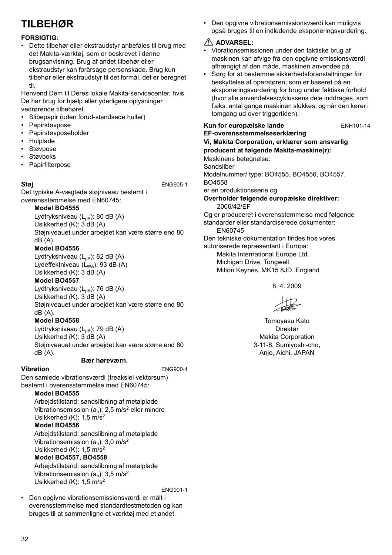# **TILBEHØR**

#### **FORSIGTIG:**

• Dette tilbehør eller ekstraudstyr anbefales til brug med det Makita-værktøj, som er beskrevet i denne brugsanvisning. Brug af andet tilbehør eller ekstraudstyr kan forårsage personskade. Brug kun tilbehør eller ekstraudstyr til det formål, det er beregnet til.

Henvend Dem til Deres lokale Makita-servicecenter, hvis De har brug for hjælp eller yderligere oplysninger vedrørende tilbehøret.

- Slibepapir (uden forud-standsede huller)
- Papirstøvpose
- Papirstøvposeholder
- Hulplade
- Støvpose
- Støvboks
- Papirfilterpose

**Støj** ENG905-1

Det typiske A-vægtede støjniveau bestemt i overensstemmelse med EN60745:

#### **Model BO4555**

Lydtryksniveau  $(L_{pA})$ : 80 dB (A) Usikkerhed (K): 3 dB (A) Støjniveauet under arbejdet kan være større end 80 dB (A).

#### **Model BO4556**

Lydtryksniveau  $(L_{pA})$ : 82 dB  $(A)$ Lydeffektniveau  $(L_{WA})$ : 93 dB (A) Usikkerhed (K): 3 dB (A)

### **Model BO4557**

Lydtryksniveau  $(L_{pA})$ : 76 dB (A) Usikkerhed (K): 3 dB (A) Støjniveauet under arbejdet kan være større end 80 dB (A).

#### **Model BO4558**

Lydtryksniveau (L<sub>pA</sub>): 79 dB (A) Usikkerhed (K): 3 dB (A) Støjniveauet under arbejdet kan være større end 80 dB (A).

#### **Bær høreværn.**

**Vibration** ENG900-1

Den samlede vibrationsværdi (treaksiel vektorsum) bestemt i overensstemmelse med EN60745:

### **Model BO4555**

Arbeidstilstand: sandslibning af metalplade Vibrationsemission  $(a_h)$ : 2,5 m/s<sup>2</sup> eller mindre Usikkerhed (K): 1,5 m/s2

### **Model BO4556**

Arbejdstilstand: sandslibning af metalplade Vibrationsemission ( $a<sub>b</sub>$ ): 3,0 m/s<sup>2</sup> Usikkerhed (K): 1,5 m/s2

#### **Model BO4557, BO4558**

Arbeidstilstand: sandslibning af metalplade Vibrationsemission  $(a_h)$ : 3,5 m/s<sup>2</sup> Usikkerhed (K): 1,5 m/s2

ENG901-1

• Den opgivne vibrationsemissionsværdi er målt i overensstemmelse med standardtestmetoden og kan bruges til at sammenligne et værktøj med et andet.

• Den opgivne vibrationsemissionsværdi kan muligvis også bruges til en indledende eksponeringsvurdering.

### **ADVARSEL:**

- Vibrationsemissionen under den faktiske brug af maskinen kan afvige fra den opgivne emissionsværdi afhængigt af den måde, maskinen anvendes på.
- Sørg for at bestemme sikkerhedsforanstaltninger for beskyttelse af operatøren, som er baseret på en eksponeringsvurdering for brug under faktiske forhold (hvor alle anvendelsescyklussens dele inddrages, som f.eks. antal gange maskinen slukkes, og når den kører i tomgang ud over triggertiden).

### **Kun for europæiske lande** ENH101-14 **EF-overensstemmelseserklæring**

#### **Vi, Makita Corporation, erklærer som ansvarlig producent at følgende Makita-maskine(r):**

Maskinens betegnelse:

**Sandsliber** 

Modelnummer/ type: BO4555, BO4556, BO4557, BO4558

er en produktionsserie og

**Overholder følgende europæiske direktiver:** 2006/42/EF

Og er produceret i overensstemmelse med følgende standarder eller standardiserede dokumenter:

EN60745

Den tekniske dokumentation findes hos vores

autoriserede repræsentant i Europa: Makita International Europe Ltd.

Michigan Drive, Tongwell, Milton Keynes, MK15 8JD, England

8. 4. 2009

Tomoyasu Kato Direktør Makita Corporation 3-11-8, Sumiyoshi-cho, Anjo, Aichi, JAPAN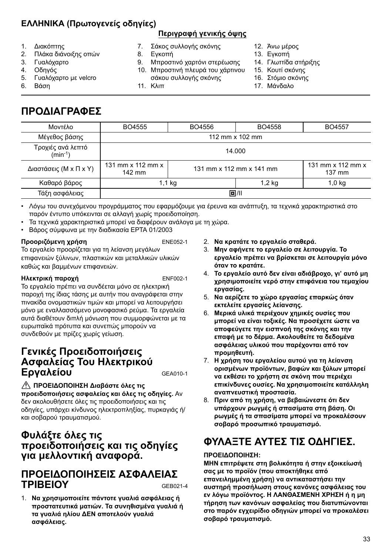# **ΕΛΛΗΝΙΚΑ (Πρωτογενείς οδηγίες)**

### **Περιγραφή γενικής όψης**

- 1. Διακόπτης
- 2. Πλάκα διάνοιξης οπών
- 3. Γυαλόχαρτο
- 4. Οδηγός
- 5. Γυαλόχαρτο με velcro
- 6. Βάση
- 7. Σάκος συλλογής σκόνης
- 8. Εγκοπή

11. Κλιπ

- 
- 9. Μπροστινό χαρτόνι στερέωσης 10. Μπροστινή πλευρά του χάρτινου σάκου συλλογής σκόνης
- 12. Άνω μέρος
- 13. Εγκοπή
- 14. Γλωττίδα στήριξης
- 15. Κουτί σκόνης
- 16. Στόμιο σκόνης 17. Μάνδαλο
- 

# **ΠΡΟΔΙΑΓΡΑΦΕΣ**

| Μοντέλο                           | BO4555                                                                | BO4556 | BO4558                                | BO4557   |
|-----------------------------------|-----------------------------------------------------------------------|--------|---------------------------------------|----------|
| Μέγεθος βάσης                     | 112 mm x 102 mm                                                       |        |                                       |          |
| Τροχιές ανά λεπτό<br>$(min^{-1})$ | 14.000                                                                |        |                                       |          |
| Διαστάσεις (Μ x Π x Υ)            | 131 mm $\times$ 112 mm $\times$<br>131 mm x 112 mm x 141 mm<br>142 mm |        | 131 mm x 112 mm x<br>$137 \text{ mm}$ |          |
| Καθαρό βάρος                      | 1,1 kg                                                                |        | $1,2$ kg                              | $1,0$ kg |
| Τάξη ασφάλειας                    | 回川                                                                    |        |                                       |          |

- Λόγω του συνεχόμενου προγράμματος που εφαρμόζουμε για έρευνα και ανάπτυξη, τα τεχνικά χαρακτηριστικά στο παρόν έντυπο υπόκεινται σε αλλαγή χωρίς προειδοποίηση.
- Τα τεχνικά χαρακτηριστικά μπορεί να διαφέρουν ανάλογα με τη χώρα.
- Βάρος σύμφωνα με την διαδικασία EPTA 01/2003

#### **Προοριζόμενη χρήση** ENE052-1

Το εργαλείο προορίζεται για τη λείανση μεγάλων επιφανειών ξύλινων, πλαστικών και μεταλλικών υλικών καθώς και βαμμένων επιφανειών.

#### **Ηλεκτρική παροχή** ENF002-1

Το εργαλείο πρέπει να συνδέεται μόνο σε ηλεκτρική παροχή της ίδιας τάσης με αυτήν που αναγράφεται στην πινακίδα ονομαστικών τιμών και μπορεί να λειτουργήσει μόνο με εναλλασσόμενο μονοφασικό ρεύμα. Τα εργαλεία αυτά διαθέτουν διπλή μόνωση που συμμορφώνεται με τα ευρωπαϊκά πρότυπα και συνεπώς μπορούν να συνδεθούν με πρίζες χωρίς γείωση.

# **Γενικές Προειδοποιήσεις Ασφαλείας Του Ηλεκτρικού Εργαλείου** GEA010-1

**ΠΡΟΕΙΔΟΠΟΙΗΣΗ Διαβάστε όλες τις προειδοποιήσεις ασφαλείας και όλες τις οδηγίες.** Αν δεν ακολουθήσετε όλες τις προειδοποιήσεις και τις οδηγίες, υπάρχει κίνδυνος ηλεκτροπληξίας, πυρκαγιάς ή/ και σοβαρού τραυματισμού.

# **Φυλάξτε όλες τις προειδοποιήσεις και τις οδηγίες για μελλοντική αναφορά.**

# **ΠΡΟΕΙΔΟΠΟΙΗΣΕΙΣ ΑΣΦΑΛΕΙΑΣ ΤΡΙΒΕΙΟΥ** GEB021-4

1. **Να χρησιμοποιείτε πάντοτε γυαλιά ασφάλειας ή προστατευτικά ματιών. Τα συνηθισμένα γυαλιά ή τα γυαλιά ηλίου ΔΕΝ αποτελούν γυαλιά ασφάλειας.**

- 2. **Να κρατάτε το εργαλείο σταθερά.**
- 3. **Μην αφήνετε το εργαλείο σε λειτουργία. Το εργαλείο πρέπει να βρίσκεται σε λειτουργία μόνο όταν το κρατάτε.**
- 4. **Το εργαλείο αυτό δεν είναι αδιάβροχο, γι' αυτό μη χρησιμοποιείτε νερό στην επιφάνεια του τεμαχίου εργασίας.**
- 5. **Να αερίζετε το χώρο εργασίας επαρκώς όταν εκτελείτε εργασίες λείανσης.**
- 6. **Μερικά υλικά περιέχουν χημικές ουσίες που μπορεί να είναι τοξικές. Να προσέχετε ώστε να αποφεύγετε την εισπνοή της σκόνης και την επαφή με το δέρμα. Ακολουθείτε τα δεδομένα ασφάλειας υλικού που παρέχονται από τον προμηθευτή.**
- 7. **Η χρήση του εργαλείου αυτού για τη λείανση ορισμένων προϊόντων, βαφών και ξύλων μπορεί να εκθέσει το χρήστη σε σκόνη που περιέχει επικίνδυνες ουσίες. Να χρησιμοποιείτε κατάλληλη αναπνευστική προστασία.**
- 8. **Πριν από τη χρήση, να βεβαιώνεστε ότι δεν υπάρχουν ρωγμές ή σπασίματα στη βάση. Οι ρωγμές ή τα σπασίματα μπορεί να προκαλέσουν σοβαρό προσωπικό τραυματισμό.**

# **ΦΥΛΑΞΤΕ ΑΥΤΕΣ ΤΙΣ ΟΔΗΓΙΕΣ.**

### **ΠΡΟΕΙΔΟΠΟΙΗΣΗ:**

**ΜΗΝ επιτρέψετε στη βολικότητα ή στην εξοικείωσή σας με το προϊόν (που αποκτήθηκε από επανειλημμένη χρήση) να αντικαταστήσει την αυστηρή προσήλωση στους κανόνες ασφάλειας του εν λόγω προϊόντος. Η ΛΑΝΘΑΣΜΕΝΗ ΧΡΗΣΗ ή η μη τήρηση των κανόνων ασφαλείας που διατυπώνονται στο παρόν εγχειρίδιο οδηγιών μπορεί να προκαλέσει σοβαρό τραυματισμό.**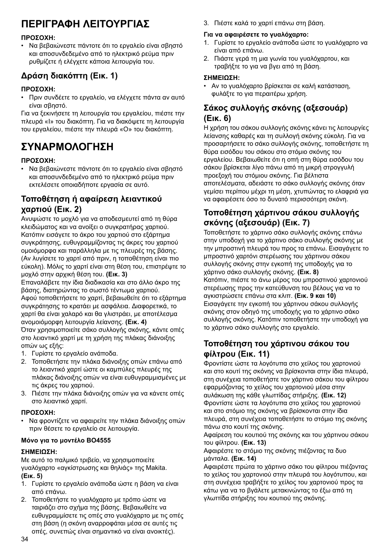# **ΠΕΡΙΓΡΑΦΗ ΛΕΙΤΟΥΡΓΙΑΣ**

#### **ΠΡΟΣΟΧΗ:**

• Να βεβαιώνεστε πάντοτε ότι το εργαλείο είναι σβηστό και αποσυνδεδεμένο από το ηλεκτρικό ρεύμα πριν ρυθμίζετε ή ελέγχετε κάποια λειτουργία του.

# **Δράση διακόπτη (Εικ. 1)**

#### **ΠΡΟΣΟΧΗ:**

• Πριν συνδέετε το εργαλείο, να ελέγχετε πάντα αν αυτό είναι σβηστό.

Για να ξεκινήσετε τη λειτουργία του εργαλείου, πιέστε την πλευρά «I» του διακόπτη. Για να διακόψετε τη λειτουργία του εργαλείου, πιέστε την πλευρά «Ο» του διακόπτη.

# **ΣΥΝΑΡΜΟΛΟΓΗΣΗ**

#### **ΠΡΟΣΟΧΗ:**

• Να βεβαιώνεστε πάντοτε ότι το εργαλείο είναι σβηστό και αποσυνδεδεμένο από το ηλεκτρικό ρεύμα πριν εκτελέσετε οποιαδήποτε εργασία σε αυτό.

### **Τοποθέτηση ή αφαίρεση λειαντικού χαρτιού (Εικ. 2)**

Ανυψώστε το μοχλό για να αποδεσμευτεί από τη θύρα κλειδώματος και να ανοίξει ο συγκρατήρας χαρτιού. Κατόπιν εισάγετε το άκρο του χαρτιού στο εξάρτημα συγκράτησης, ευθυγραμμίζοντας τις άκρες του χαρτιού ομοιόμορφα και παράλληλα με τις πλευρές της βάσης. (Αν λυγίσετε το χαρτί από πριν, η τοποθέτηση είναι πιο εύκολη). Μόλις το χαρτί είναι στη θέση του, επιστρέψτε το μοχλό στην αρχική θέση του. **(Εικ. 3)**

Επαναλάβετε την ίδια διαδικασία και στο άλλο άκρο της βάσης, διατηρώντας το σωστό τέντωμα χαρτιού. Αφού τοποθετήσετε το χαρτί, βεβαιωθείτε ότι το εξάρτημα συγκράτησης το κρατάει με ασφάλεια. Διαφορετικά, το χαρτί θα είναι χαλαρό και θα γλιστράει, με αποτέλεσμα ανομοιόμορφη λειτουργία λείανσης. **(Εικ. 4)**

Όταν χρησιμοποιείτε σάκο συλλογής σκόνης, κάντε οπές στο λειαντικό χαρτί με τη χρήση της πλάκας διάνοιξης οπών ως εξής:

- 1. Γυρίστε το εργαλείο ανάποδα.
- 2. Τοποθετήστε την πλάκα διάνοιξης οπών επάνω από το λειαντικό χαρτί ώστε οι καμπύλες πλευρές της πλάκας διάνοιξης οπών να είναι ευθυγραμμισμένες με τις άκρες του χαρτιού.
- 3. Πιέστε την πλάκα διάνοιξης οπών για να κάνετε οπές στο λειαντικό χαρτί.

#### **ΠΡΟΣΟΧΗ:**

• Να φροντίζετε να αφαιρείτε την πλάκα διάνοιξης οπών πριν θέσετε το εργαλείο σε λειτουργία.

#### **Μόνο για το μοντέλο BO4555**

#### **ΣΗΜΕΙΩΣΗ:**

Με αυτό το παλμικό τριβείο, να χρησιμοποιείτε γυαλόχαρτο «αγκίστρωσης και θηλιάς» της Makita. **(Εικ. 5)**

- 1. Γυρίστε το εργαλείο ανάποδα ώστε η βάση να είναι από επάνω.
- 2. Τοποθετήστε το γυαλόχαρτο με τρόπο ώστε να ταιριάζει στο σχήμα της βάσης. Βεβαιωθείτε να ευθυγραμμίσετε τις οπές στο γυαλόχαρτο με τις οπές στη βάση (η σκόνη αναρροφάται μέσα σε αυτές τις οπές, συνεπώς είναι σημαντικό να είναι ανοικτές).

3. Πιέστε καλά το χαρτί επάνω στη βάση.

#### **Για να αφαιρέσετε το γυαλόχαρτο:**

- 1. Γυρίστε το εργαλείο ανάποδα ώστε το γυαλόχαρτο να είναι από επάνω.
- 2. Πιάστε γερά τη μια γωνία του γυαλόχαρτου, και τραβήξτε το για να βγει από τη βάση.

#### **ΣΗΜΕΙΩΣΗ:**

• Αν το γυαλόχαρτο βρίσκεται σε καλή κατάσταση, φυλάξτε το για περαιτέρω χρήση.

### **Σάκος συλλογής σκόνης (αξεσουάρ) (Εικ. 6)**

Η χρήση του σάκου συλλογής σκόνης κάνει τις λειτουργίες λείανσης καθαρές και τη συλλογή σκόνης εύκολη. Για να προσαρτήσετε το σάκο συλλογής σκόνης, τοποθετήστε τη θύρα εισόδου του σάκου στο στόμιο σκόνης του εργαλείου. Βεβαιωθείτε ότι η οπή στη θύρα εισόδου του σάκου βρίσκεται λίγο πάνω από τη μικρή στρογγυλή προεξοχή του στόμιου σκόνης. Για βέλτιστα αποτελέσματα, αδειάστε το σάκο συλλογής σκόνης όταν γεμίσει περίπου μέχρι τη μέση, χτυπώντας το ελαφριά για να αφαιρέσετε όσο το δυνατό περισσότερη σκόνη.

## **Τοποθέτηση χάρτινου σάκου συλλογής σκόνης (αξεσουάρ) (Εικ. 7)**

Τοποθετήστε το χάρτινο σάκο συλλογής σκόνης επάνω στην υποδοχή για το χάρτινο σάκο συλλογής σκόνης με την μπροστινή πλευρά του προς τα επάνω. Εισαγάγετε το μπροστινό χαρτόνι στερέωσης του χάρτινου σάκου συλλογής σκόνης στην εγκοπή της υποδοχής για το χάρτινο σάκο συλλογής σκόνης. **(Εικ. 8)** Κατόπιν, πιέστε το άνω μέρος του μπροστινού χαρτονιού στερέωσης προς την κατεύθυνση του βέλους για να το αγκιστρώσετε επάνω στα κλιπ. **(Εικ. 9 και 10)** Εισαγάγετε την εγκοπή του χάρτινου σάκου συλλογής σκόνης στον οδηγό της υποδοχής για το χάρτινο σάκο συλλογής σκόνης. Κατόπιν τοποθετήστε την υποδοχή για το χάρτινο σάκο συλλογής στο εργαλείο.

### **Τοποθέτηση του χάρτινου σάκου του φίλτρου (Εικ. 11)**

Φροντίστε ώστε τα λογότυπα στο χείλος του χαρτονιού και στο κουτί της σκόνης να βρίσκονται στην ίδια πλευρά, στη συνέχεια τοποθετήστε τον χάρτινο σάκου του φίλτρου εφαρμόζοντας το χείλος του χαρτονιού μέσα στην αυλάκωση της κάθε γλωττίδας στήριξης. **(Εικ. 12)** Φροντίστε ώστε τα λογότυπα στο χείλος του χαρτονιού και στο στόμιο της σκόνης να βρίσκονται στην ίδια πλευρά, στη συνέχεια τοποθετήστε το στόμιο της σκόνης πάνω στο κουτί της σκόνης.

Αφαίρεση του κουτιού της σκόνης και του χάρτινου σάκου του φίλτρου. **(Εικ. 13)**

Αφαιρέστε το στόμιο της σκόνης πιέζοντας τα δυο μάνταλα. **(Εικ. 14)**

Αφαιρέστε πρώτα το χάρτινο σάκο του φίλτρου πιέζοντας το χείλος του χαρτονιού στην πλευρά του λογότυπου, και στη συνέχεια τραβήξτε το χείλος του χαρτονιού προς τα κάτω για να το βγάλετε μετακινώντας το έξω από τη γλωττίδα στήριξης του κουτιού της σκόνης.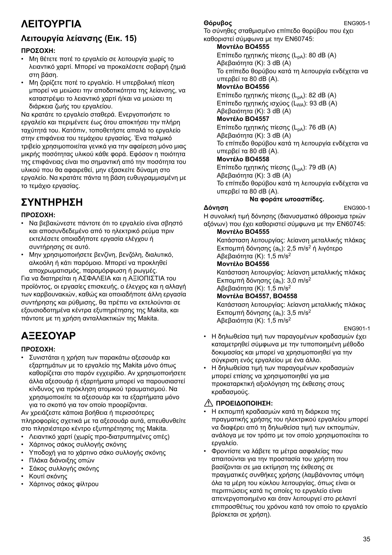# **ΛΕΙΤΟΥΡΓΙΑ**

# **Λειτουργία λείανσης (Εικ. 15)**

#### **ΠΡΟΣΟΧΗ:**

- Μη θέτετε ποτέ το εργαλείο σε λειτουργία χωρίς το λειαντικό χαρτί. Μπορεί να προκαλέσετε σοβαρή ζημιά στη βάση.
- Μη ζορίζετε ποτέ το εργαλείο. Η υπερβολική πίεση μπορεί να μειώσει την αποδοτικότητα της λείανσης, να καταστρέψει το λειαντικό χαρτί ή/και να μειώσει τη διάρκεια ζωής του εργαλείου.

Να κρατάτε το εργαλείο σταθερά. Ενεργοποιήστε το εργαλείο και περιμένετε έως ότου αποκτήσει την πλήρη ταχύτητά του. Κατόπιν, τοποθετήστε απαλά το εργαλείο στην επιφάνεια του τεμάχιου εργασίας. Ένα παλμικό τριβείο χρησιμοποιείται γενικά για την αφαίρεση μόνο μιας μικρής ποσότητας υλικού κάθε φορά. Εφόσον η ποιότητα της επιφάνειας είναι πιο σημαντική από την ποσότητα του υλικού που θα αφαιρεθεί, μην εξασκείτε δύναμη στο εργαλείο. Να κρατάτε πάντα τη βάση ευθυγραμμισμένη με το τεμάχιο εργασίας.

# **ΣΥΝΤΗΡΗΣΗ**

#### **ΠΡΟΣΟΧΗ:**

- Να βεβαιώνεστε πάντοτε ότι το εργαλείο είναι σβηστό και αποσυνδεδεμένο από το ηλεκτρικό ρεύμα πριν εκτελέσετε οποιαδήποτε εργασία ελέγχου ή συντήρησης σε αυτό.
- Μην χρησιμοποιήσετε βενζίνη, βενζόλη, διαλυτικό, αλκοόλη ή κάτι παρόμοιο. Μπορεί να προκληθεί αποχρωματισμός, παραμόρφωση ή ρωγμές.

Για να διατηρείται η ΑΣΦΑΛΕΙΑ και η ΑΞΙΟΠΙΣΤΙΑ του προϊόντος, οι εργασίες επισκευής, ο έλεγχος και η αλλαγή των καρβουνακιών, καθώς και οποιαδήποτε άλλη εργασία συντήρησης και ρύθμισης, θα πρέπει να εκτελούνται σε εξουσιοδοτημένα κέντρα εξυπηρέτησης της Makita, και πάντοτε με τη χρήση ανταλλακτικών της Makita.

# **ΑΞΕΣΟΥΑΡ**

#### **ΠΡΟΣΟΧΗ:**

• Συνιστάται η χρήση των παρακάτω αξεσουάρ και εξαρτημάτων με το εργαλείο της Makita μόνο όπως καθορίζεται στο παρόν εγχειρίδιο. Αν χρησιμοποιήσετε άλλα αξεσουάρ ή εξαρτήματα μπορεί να παρουσιαστεί κίνδυνος για πρόκληση ατομικού τραυματισμού. Να χρησιμοποιείτε τα αξεσουάρ και τα εξαρτήματα μόνο για το σκοπό για τον οποίο προορίζονται.

Αν χρειάζεστε κάποια βοήθεια ή περισσότερες πληροφορίες σχετικά με τα αξεσουάρ αυτά, απευθυνθείτε στο πλησιέστερο κέντρο εξυπηρέτησης της Makita.

- Λειαντικό χαρτί (χωρίς προ-διατρυπημένες οπές)
- Χάρτινος σάκος συλλογής σκόνης
- Υποδοχή για το χάρτινο σάκο συλλογής σκόνης
- Πλάκα διάνοιξης οπών
- Σάκος συλλογής σκόνης
- Κουτί σκόνης
- Χάρτινος σάκος φίλτρου

### **Θόρυβος** ENG905-1

Το σύνηθες σταθμισμένο επίπεδο θορύβου που έχει καθοριστεί σύμφωνα με την EN60745:

#### **Μοντέλο BO4555**

Επίπεδο ηχητικής πίεσης (L<sub>pA</sub>): 80 dB (A) Αβεβαιότητα (Κ): 3 dB (A) Το επίπεδο θορύβου κατά τη λειτουργία ενδέχεται να υπερβεί τα 80 dB (A). **Μοντέλο BO4556**

Επίπεδο ηχητικής πίεσης (L<sub>nA</sub>): 82 dB (A) Επίπεδο ηχητικής ισχύος (L<sub>WA</sub>): 93 dB (A) Αβεβαιότητα (Κ): 3 dB (A)

#### **Μοντέλο BO4557**

Επίπεδο ηχητικής πίεσης (L<sub>nA</sub>): 76 dB (A) Αβεβαιότητα (Κ): 3 dB (A) Το επίπεδο θορύβου κατά τη λειτουργία ενδέχεται να υπερβεί τα 80 dB (A).

### **Μοντέλο BO4558**

Επίπεδο ηχητικής πίεσης (L<sub>pA</sub>): 79 dB (A) Αβεβαιότητα (Κ): 3 dB (A) Το επίπεδο θορύβου κατά τη λειτουργία ενδέχεται να υπερβεί τα 80 dB (A).

## **Να φοράτε ωτοασπίδες.**

**Δόνηση** ENG900-1 Η συνολική τιμή δόνησης (διανυσματικό άθροισμα τριών αξόνων) που έχει καθοριστεί σύμφωνα με την EN60745:

#### **Μοντέλο BO4555**

Κατάσταση λειτουργίας: λείανση μεταλλικής πλάκας Εκπομπή δόνησης (ah): 2,5 m/s2 ή λιγότερο Αβεβαιότητα (Κ): 1,5 m/s2

#### **Μοντέλο BO4556**

Κατάσταση λειτουργίας: λείανση μεταλλικής πλάκας Εκπομπή δόνησης (ah): 3,0 m/s2 Αβεβαιότητα (Κ): 1,5 m/s2

### **Μοντέλα BO4557, BO4558**

Κατάσταση λειτουργίας: λείανση μεταλλικής πλάκας Εκπομπή δόνησης (ah): 3,5 m/s2 Αβεβαιότητα (Κ): 1,5 m/s2

#### ENG901-1

- Η δηλωθείσα τιμή των παραγομένων κραδασμών έχει καταμετρηθεί σύμφωνα με την τυποποιημένη μέθοδο δοκιμασίας και μπορεί να χρησιμοποιηθεί για την σύγκριση ενός εργαλείου με ένα άλλο.
- Η δηλωθείσα τιμή των παραγομένων κραδασμών μπορεί επίσης να χρησιμοποιηθεί για μια προκαταρκτική αξιολόγηση της έκθεσης στους κραδασμούς.

#### **ΠΡΟΕΙΔΟΠΟΙΗΣΗ:**

- Η εκπομπή κραδασμών κατά τη διάρκεια της πραγματικής χρήσης του ηλεκτρικού εργαλείου μπορεί να διαφέρει από τη δηλωθείσα τιμή των εκπομπών, ανάλογα με τον τρόπο με τον οποίο χρησιμοποιείται το εργαλείο.
- Φροντίστε να λάβετε τα μέτρα ασφαλείας που απαιτούνται για την προστασία του χρήστη που βασίζονται σε μια εκτίμηση της έκθεσης σε πραγματικές συνθήκες χρήσης (λαμβάνοντας υπόψη όλα τα μέρη του κύκλου λειτουργίας, όπως είναι οι περιπτώσεις κατά τις οποίες το εργαλείο είναι απενεργοποιημένο και όταν λειτουργεί στο ρελαντί επιπροσθέτως του χρόνου κατά τον οποίο το εργαλείο βρίσκεται σε χρήση).